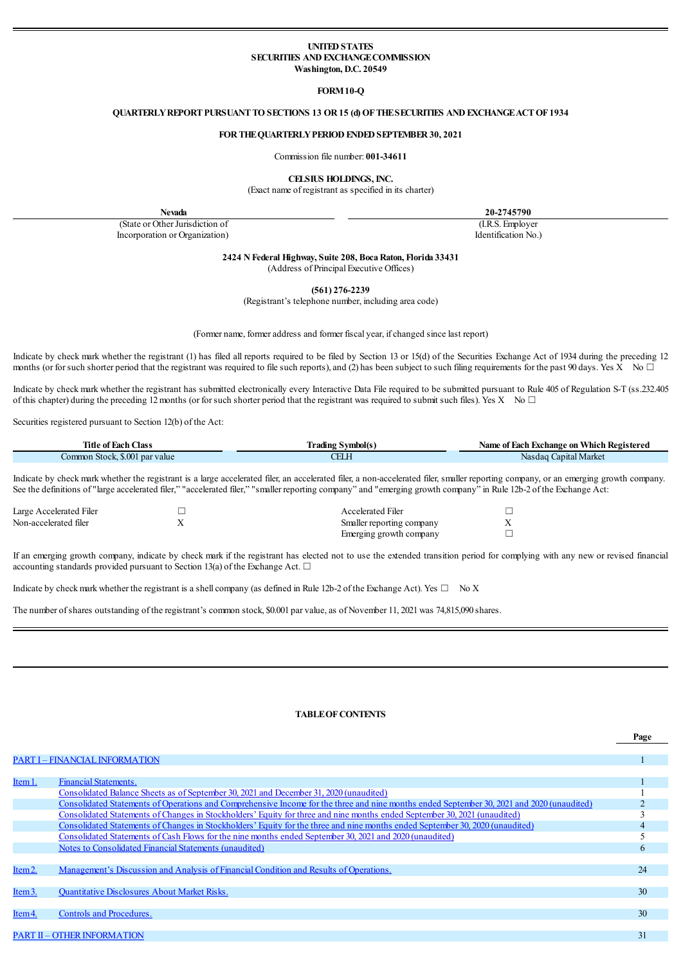#### **UNITEDSTATES SECURITIES ANDEXCHANGECOMMISSION Washington, D.C. 20549**

#### **FORM10-Q**

# <span id="page-0-0"></span>**QUARTERLYREPORTPURSUANTTOSECTIONS 13 OR15 (d)OFTHESECURITIES ANDEXCHANGEACTOF1934**

#### **FORTHEQUARTERLYPERIODENDEDSEPTEMBER30, 2021**

Commission file number: **001-34611**

**CELSIUS HOLDINGS, INC.**

(Exact name of registrant as specified in its charter)

(State or Other Jurisdiction of (I.R.S. Employer) (I.R.S. Employer Incorporation or Organization) Identification No.)

**Nevada 20-2745790**

**2424 NFederal Highway, Suite 208, BocaRaton, Florida 33431**

(Address of Principal Executive Offices)

**(561) 276-2239**

(Registrant's telephone number, including area code)

(Former name, former address and former fiscal year, if changed since last report)

Indicate by check mark whether the registrant (1) has filed all reports required to be filed by Section 13 or 15(d) of the Securities Exchange Act of 1934 during the preceding 12 months (or for such shorter period that the registrant was required to file such reports), and (2) has been subject to such filing requirements for the past 90 days. Yes X No  $\Box$ 

Indicate by check mark whether the registrant has submitted electronically every Interactive Data File required to be submitted pursuant to Rule 405 of Regulation S-T (ss.232.405 of this chapter) during the preceding 12 months (or for such shorter period that the registrant was required to submit such files). Yes X No  $\Box$ 

Securities registered pursuant to Section 12(b) of the Act:

| <b>Title of Each</b><br>lass)    | Symbol(s)<br>Trading | Name of Each Exchange on Which Registered |
|----------------------------------|----------------------|-------------------------------------------|
| \$.001 par value<br>Common Stock | ÆLП                  | Lapital Market<br>Nasdag                  |

Indicate by check mark whether the registrant is a large accelerated filer, an accelerated filer, a non-accelerated filer, smaller reporting company, or an emerging growth company. See the definitions of"large accelerated filer," "accelerated filer," "smaller reporting company" and "emerging growth company" in Rule 12b-2 of the Exchange Act:

| Large Accelerated Filer | Accelerated Filer         |  |
|-------------------------|---------------------------|--|
| Non-accelerated filer   | Smaller reporting company |  |
|                         | Emerging growth company   |  |

If an emerging growth company, indicate by check mark if the registrant has elected not to use the extended transition period for complying with any new or revised financial accounting standards provided pursuant to Section 13(a) of the Exchange Act.  $\Box$ 

Indicate by check mark whether the registrant is a shell company (as defined in Rule 12b-2 of the Exchange Act). Yes  $\Box$  No X

The number of shares outstanding of the registrant's common stock, \$0.001 par value, as of November 11, 2021 was 74,815,090 shares.

# **TABLEOFCONTENTS**

|                     |                                                                                                                                            | Page |
|---------------------|--------------------------------------------------------------------------------------------------------------------------------------------|------|
|                     |                                                                                                                                            |      |
|                     | <b>PART I - FINANCIAL INFORMATION</b>                                                                                                      |      |
|                     |                                                                                                                                            |      |
| Item 1.             | Financial Statements.                                                                                                                      |      |
|                     | Consolidated Balance Sheets as of September 30, 2021 and December 31, 2020 (unaudited)                                                     |      |
|                     | Consolidated Statements of Operations and Comprehensive Income for the three and nine months ended September 30, 2021 and 2020 (unaudited) |      |
|                     | Consolidated Statements of Changes in Stockholders' Equity for three and nine months ended September 30, 2021 (unaudited)                  |      |
|                     | Consolidated Statements of Changes in Stockholders' Equity for the three and nine months ended September 30, 2020 (unaudited)              | 4    |
|                     | Consolidated Statements of Cash Flows for the nine months ended September 30, 2021 and 2020 (unaudited)                                    |      |
|                     | Notes to Consolidated Financial Statements (unaudited)                                                                                     | 6    |
|                     |                                                                                                                                            |      |
| Item <sub>2</sub> . | Management's Discussion and Analysis of Financial Condition and Results of Operations.                                                     | 24   |
|                     |                                                                                                                                            |      |
| Item 3.             | <b>Quantitative Disclosures About Market Risks.</b>                                                                                        | 30   |
|                     |                                                                                                                                            |      |
| Item <sub>4</sub> . | Controls and Procedures.                                                                                                                   | 30   |
|                     |                                                                                                                                            |      |
|                     | <b>PART II - OTHER INFORMATION</b>                                                                                                         | 31   |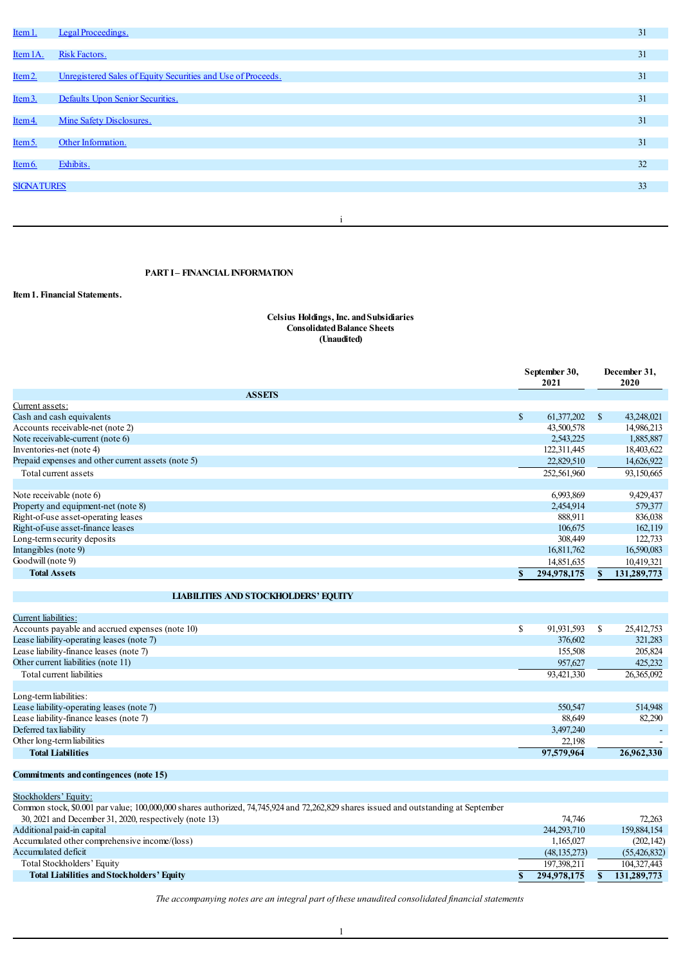| Item 1.             | <b>Legal Proceedings.</b>                                    | 31 |
|---------------------|--------------------------------------------------------------|----|
|                     |                                                              |    |
| Item 1A.            | <b>Risk Factors.</b>                                         | 31 |
| Item <sub>2.</sub>  | Unregistered Sales of Equity Securities and Use of Proceeds. | 31 |
| Item <sub>3.</sub>  | Defaults Upon Senior Securities.                             | 31 |
| Item <sub>4</sub> . | Mine Safety Disclosures.                                     | 31 |
| Item 5.             | Other Information.                                           | 31 |
| Item 6.             | Exhibits.                                                    | 32 |
| <b>SIGNATURES</b>   |                                                              | 33 |
|                     |                                                              |    |

# i

# **PARTI – FINANCIALINFORMATION**

# **Item1. Financial Statements.**

# **Celsius Holdings, Inc. andSubsidiaries ConsolidatedBalance Sheets (Unaudited)**

| <b>ASSETS</b><br>$\mathbb{S}$<br>61,377,202<br>43,248,021<br><sup>\$</sup><br>43,500,578<br>14,986,213<br>2,543,225<br>1,885,887<br>122,311,445<br>18,403,622<br>22,829,510<br>14,626,922<br>Total current assets<br>252,561,960<br>93,150,665<br>9,429,437<br>Note receivable (note 6)<br>6,993,869<br>Property and equipment-net (note 8)<br>2,454,914<br>579,377<br>Right-of-use asset-operating leases<br>888,911<br>836,038<br>Right-of-use asset-finance leases<br>162,119<br>106,675<br>Long-term security deposits<br>308,449<br>122,733<br>Intangibles (note 9)<br>16,811,762<br>16,590,083<br>Goodwill (note 9)<br>14,851,635<br>10,419,321<br><b>Total Assets</b><br>294,978,175<br>131,289,773<br>$\mathbf{s}$<br>$\mathbf{s}$<br><b>LIABILITIES AND STOCKHOLDERS' EQUITY</b><br>\$<br>91,931,593<br><sup>\$</sup><br>25,412,753<br>376,602<br>321,283<br>205,824<br>155,508<br>425,232<br>957,627<br>93,421,330<br>Total current liabilities<br>26,365,092<br>Long-term liabilities:<br>Lease liability-operating leases (note 7)<br>550,547<br>514,948 |                                                    | September 30,<br>2021 |  | December 31,<br>2020 |
|----------------------------------------------------------------------------------------------------------------------------------------------------------------------------------------------------------------------------------------------------------------------------------------------------------------------------------------------------------------------------------------------------------------------------------------------------------------------------------------------------------------------------------------------------------------------------------------------------------------------------------------------------------------------------------------------------------------------------------------------------------------------------------------------------------------------------------------------------------------------------------------------------------------------------------------------------------------------------------------------------------------------------------------------------------------------|----------------------------------------------------|-----------------------|--|----------------------|
|                                                                                                                                                                                                                                                                                                                                                                                                                                                                                                                                                                                                                                                                                                                                                                                                                                                                                                                                                                                                                                                                      |                                                    |                       |  |                      |
|                                                                                                                                                                                                                                                                                                                                                                                                                                                                                                                                                                                                                                                                                                                                                                                                                                                                                                                                                                                                                                                                      | Current assets:                                    |                       |  |                      |
|                                                                                                                                                                                                                                                                                                                                                                                                                                                                                                                                                                                                                                                                                                                                                                                                                                                                                                                                                                                                                                                                      | Cash and cash equivalents                          |                       |  |                      |
|                                                                                                                                                                                                                                                                                                                                                                                                                                                                                                                                                                                                                                                                                                                                                                                                                                                                                                                                                                                                                                                                      | Accounts receivable-net (note 2)                   |                       |  |                      |
|                                                                                                                                                                                                                                                                                                                                                                                                                                                                                                                                                                                                                                                                                                                                                                                                                                                                                                                                                                                                                                                                      | Note receivable-current (note 6)                   |                       |  |                      |
|                                                                                                                                                                                                                                                                                                                                                                                                                                                                                                                                                                                                                                                                                                                                                                                                                                                                                                                                                                                                                                                                      | Inventories-net (note 4)                           |                       |  |                      |
|                                                                                                                                                                                                                                                                                                                                                                                                                                                                                                                                                                                                                                                                                                                                                                                                                                                                                                                                                                                                                                                                      | Prepaid expenses and other current assets (note 5) |                       |  |                      |
|                                                                                                                                                                                                                                                                                                                                                                                                                                                                                                                                                                                                                                                                                                                                                                                                                                                                                                                                                                                                                                                                      |                                                    |                       |  |                      |
|                                                                                                                                                                                                                                                                                                                                                                                                                                                                                                                                                                                                                                                                                                                                                                                                                                                                                                                                                                                                                                                                      |                                                    |                       |  |                      |
|                                                                                                                                                                                                                                                                                                                                                                                                                                                                                                                                                                                                                                                                                                                                                                                                                                                                                                                                                                                                                                                                      |                                                    |                       |  |                      |
|                                                                                                                                                                                                                                                                                                                                                                                                                                                                                                                                                                                                                                                                                                                                                                                                                                                                                                                                                                                                                                                                      |                                                    |                       |  |                      |
|                                                                                                                                                                                                                                                                                                                                                                                                                                                                                                                                                                                                                                                                                                                                                                                                                                                                                                                                                                                                                                                                      |                                                    |                       |  |                      |
|                                                                                                                                                                                                                                                                                                                                                                                                                                                                                                                                                                                                                                                                                                                                                                                                                                                                                                                                                                                                                                                                      |                                                    |                       |  |                      |
|                                                                                                                                                                                                                                                                                                                                                                                                                                                                                                                                                                                                                                                                                                                                                                                                                                                                                                                                                                                                                                                                      |                                                    |                       |  |                      |
|                                                                                                                                                                                                                                                                                                                                                                                                                                                                                                                                                                                                                                                                                                                                                                                                                                                                                                                                                                                                                                                                      |                                                    |                       |  |                      |
|                                                                                                                                                                                                                                                                                                                                                                                                                                                                                                                                                                                                                                                                                                                                                                                                                                                                                                                                                                                                                                                                      |                                                    |                       |  |                      |
|                                                                                                                                                                                                                                                                                                                                                                                                                                                                                                                                                                                                                                                                                                                                                                                                                                                                                                                                                                                                                                                                      |                                                    |                       |  |                      |
|                                                                                                                                                                                                                                                                                                                                                                                                                                                                                                                                                                                                                                                                                                                                                                                                                                                                                                                                                                                                                                                                      |                                                    |                       |  |                      |
|                                                                                                                                                                                                                                                                                                                                                                                                                                                                                                                                                                                                                                                                                                                                                                                                                                                                                                                                                                                                                                                                      | Current liabilities:                               |                       |  |                      |
|                                                                                                                                                                                                                                                                                                                                                                                                                                                                                                                                                                                                                                                                                                                                                                                                                                                                                                                                                                                                                                                                      | Accounts payable and accrued expenses (note 10)    |                       |  |                      |
|                                                                                                                                                                                                                                                                                                                                                                                                                                                                                                                                                                                                                                                                                                                                                                                                                                                                                                                                                                                                                                                                      | Lease liability-operating leases (note 7)          |                       |  |                      |
|                                                                                                                                                                                                                                                                                                                                                                                                                                                                                                                                                                                                                                                                                                                                                                                                                                                                                                                                                                                                                                                                      | Lease liability-finance leases (note 7)            |                       |  |                      |
|                                                                                                                                                                                                                                                                                                                                                                                                                                                                                                                                                                                                                                                                                                                                                                                                                                                                                                                                                                                                                                                                      | Other current liabilities (note 11)                |                       |  |                      |
|                                                                                                                                                                                                                                                                                                                                                                                                                                                                                                                                                                                                                                                                                                                                                                                                                                                                                                                                                                                                                                                                      |                                                    |                       |  |                      |
|                                                                                                                                                                                                                                                                                                                                                                                                                                                                                                                                                                                                                                                                                                                                                                                                                                                                                                                                                                                                                                                                      |                                                    |                       |  |                      |
|                                                                                                                                                                                                                                                                                                                                                                                                                                                                                                                                                                                                                                                                                                                                                                                                                                                                                                                                                                                                                                                                      |                                                    |                       |  |                      |

| Lease liability-finance leases (note 7) | 88,649     | 82,290                   |
|-----------------------------------------|------------|--------------------------|
| Deferred tax liability                  | 3,497,240  |                          |
| Other long-term liabilities             | 22.198     | $\overline{\phantom{a}}$ |
| <b>Total Liabilities</b>                | 97.579.964 | 26,962,330               |
|                                         |            |                          |

# **Commitments andcontingences (note 15)**

Stockholders' Equity:

| Common stock, \$0.001 par value; 100,000,000 shares authorized, 74,745,924 and 72,262,829 shares issued and outstanding at September |               |                |
|--------------------------------------------------------------------------------------------------------------------------------------|---------------|----------------|
| 30, 2021 and December 31, 2020, respectively (note 13)                                                                               | 74.746        | 72.263         |
| Additional paid-in capital                                                                                                           | 244, 293, 710 | 159,884,154    |
| Accumulated other comprehensive income/(loss)                                                                                        | 1.165.027     | (202, 142)     |
| Accumulated deficit                                                                                                                  | (48.135.273)  | (55, 426, 832) |
| Total Stockholders' Equity                                                                                                           | 197.398.211   | 104.327.443    |
| <b>Total Liabilities and Stockholders' Equity</b>                                                                                    | 294,978,175   | 131,289,773    |

T

*The accompanying notes are an integral part of these unaudited consolidated financial statements*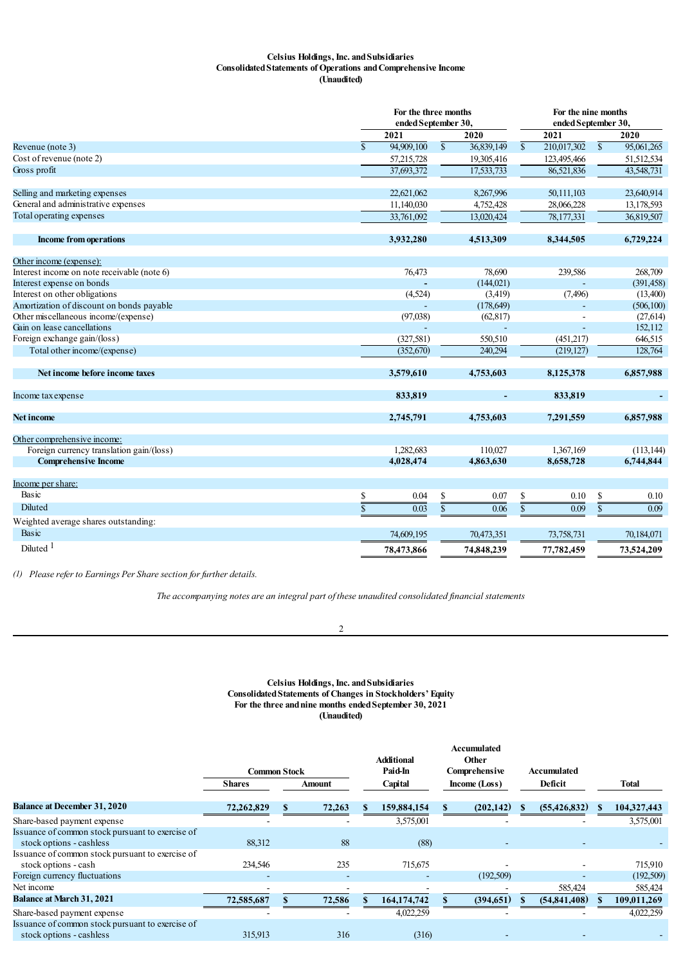# **Celsius Holdings, Inc. andSubsidiaries ConsolidatedStatements ofOperations andComprehensive Income (Unaudited)**

|                                                                         |                             | For the three months<br>ended September 30, |                             | For the nine months<br>ended September 30, |
|-------------------------------------------------------------------------|-----------------------------|---------------------------------------------|-----------------------------|--------------------------------------------|
|                                                                         | 2021                        | 2020                                        | 2021                        | 2020                                       |
| Revenue (note 3)                                                        | 94,909,100<br>$\mathcal{S}$ | $\mathbb{S}$<br>36,839,149                  | $\mathbb{S}$<br>210,017,302 | $\mathcal{S}$<br>95,061,265                |
| Cost of revenue (note 2)                                                | 57,215,728                  | 19,305,416                                  | 123,495,466                 | 51,512,534                                 |
| Gross profit                                                            | 37,693,372                  | 17,533,733                                  | 86,521,836                  | 43,548,731                                 |
| Selling and marketing expenses                                          | 22,621,062                  | 8,267,996                                   | 50,111,103                  | 23,640,914                                 |
| General and administrative expenses                                     | 11,140,030                  | 4,752,428                                   | 28.066.228                  | 13,178,593                                 |
| Total operating expenses                                                | 33,761,092                  | 13,020,424                                  | 78,177,331                  | 36,819,507                                 |
| <b>Income from operations</b>                                           | 3,932,280                   | 4,513,309                                   | 8,344,505                   | 6,729,224                                  |
| Other income (expense):                                                 |                             |                                             |                             |                                            |
| Interest income on note receivable (note 6)                             |                             | 76.473<br>78,690                            | 239,586                     | 268,709                                    |
| Interest expense on bonds                                               |                             | (144, 021)                                  |                             | (391, 458)                                 |
| Interest on other obligations                                           |                             | (4,524)<br>(3, 419)                         | (7, 496)                    | (13,400)                                   |
| Amortization of discount on bonds payable                               |                             | (178, 649)                                  |                             | (506, 100)                                 |
| Other miscellaneous income/(expense)                                    |                             | (97,038)<br>(62, 817)                       |                             | (27, 614)                                  |
| Gain on lease cancellations                                             |                             |                                             |                             | 152,112                                    |
| Foreign exchange gain/(loss)                                            |                             | (327, 581)<br>550,510                       | (451,217)                   | 646,515                                    |
| Total other income/(expense)                                            |                             | (352,670)<br>240,294                        | (219, 127)                  | 128,764                                    |
| Net income before income taxes                                          | 3,579,610                   | 4,753,603                                   | 8,125,378                   | 6,857,988                                  |
| Income tax expense                                                      | 833,819                     |                                             | 833,819                     |                                            |
| <b>Net income</b>                                                       | 2,745,791                   | 4,753,603                                   | 7,291,559                   | 6,857,988                                  |
|                                                                         |                             |                                             |                             |                                            |
| Other comprehensive income:                                             | 1.282,683                   | 110,027                                     | 1.367.169                   |                                            |
| Foreign currency translation gain/(loss)<br><b>Comprehensive Income</b> | 4,028,474                   | 4,863,630                                   | 8,658,728                   | (113, 144)<br>6,744,844                    |
| Income per share:                                                       |                             |                                             |                             |                                            |
| Basic                                                                   | \$                          | 0.04<br>\$<br>0.07                          | \$<br>$0.10\,$              | \$<br>0.10                                 |
| <b>Diluted</b>                                                          | \$                          | $\mathbb{S}$<br>0.03<br>0.06                | $\mathbf S$<br>0.09         | $\mathbf S$<br>0.09                        |
| Weighted average shares outstanding:                                    |                             |                                             |                             |                                            |
| Basic                                                                   | 74,609,195                  | 70,473,351                                  | 73,758,731                  | 70,184,071                                 |
| Diluted <sup>1</sup>                                                    | 78,473,866                  | 74,848,239                                  | 77,782,459                  | 73,524,209                                 |

*(1) Please refer to Earnings Per Share section for further details.*

*The accompanying notes are an integral part of these unaudited consolidated financial statements*

2

# **Celsius Holdings, Inc. andSubsidiaries ConsolidatedStatements of Changes in Stockholders' Equity For the three andnine months endedSeptember 30, 2021 (Unaudited)**

|                                                                              | <b>Common Stock</b> |    |        | Additional<br>Paid-In |  | Accumulated<br>Other<br>Comprehensive |  | Accumulated              |             |
|------------------------------------------------------------------------------|---------------------|----|--------|-----------------------|--|---------------------------------------|--|--------------------------|-------------|
|                                                                              | <b>Shares</b>       |    | Amount | Capital               |  | Income (Loss)                         |  | Deficit                  | Total       |
| <b>Balance at December 31, 2020</b>                                          | 72,262,829          | S. | 72,263 | 159,884,154           |  | (202, 142)                            |  | (55, 426, 832)           | 104,327,443 |
| Share-based payment expense                                                  |                     |    |        | 3,575,001             |  |                                       |  |                          | 3,575,001   |
| Issuance of common stock pursuant to exercise of<br>stock options - cashless | 88,312              |    | 88     | (88)                  |  | $\overline{\phantom{a}}$              |  |                          |             |
| Issuance of common stock pursuant to exercise of<br>stock options - cash     | 234,546             |    | 235    | 715,675               |  |                                       |  |                          | 715,910     |
| Foreign currency fluctuations                                                |                     |    |        |                       |  | (192, 509)                            |  |                          | (192, 509)  |
| Net income                                                                   |                     |    |        |                       |  |                                       |  | 585,424                  | 585,424     |
| <b>Balance at March 31, 2021</b>                                             | 72,585,687          |    | 72,586 | 164, 174, 742         |  | (394, 651)                            |  | (54, 841, 408)           | 109,011,269 |
| Share-based payment expense                                                  |                     |    |        | 4,022,259             |  |                                       |  |                          | 4,022,259   |
| Issuance of common stock pursuant to exercise of<br>stock options - cashless | 315.913             |    | 316    | (316)                 |  |                                       |  | $\overline{\phantom{a}}$ |             |
|                                                                              |                     |    |        |                       |  |                                       |  |                          |             |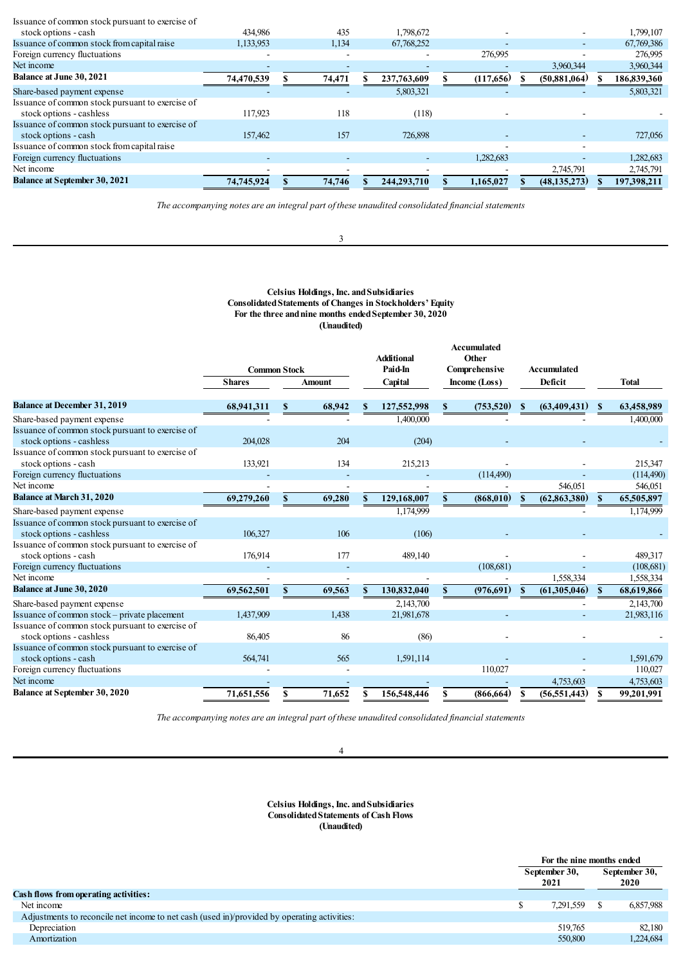| <b>Balance at September 30, 2021</b>             | 74,745,924 | 74,746                   | 244.293.710 | 1.165.027 | (48, 135, 273) | 197,398,211 |
|--------------------------------------------------|------------|--------------------------|-------------|-----------|----------------|-------------|
| Net income                                       |            |                          |             |           | 2,745,791      | 2,745,791   |
| Foreign currency fluctuations                    |            | $\overline{\phantom{0}}$ |             | 1,282,683 |                | 1,282,683   |
| Issuance of common stock from capital raise      |            |                          |             |           |                |             |
| stock options - cash                             | 157,462    | 157                      | 726,898     |           |                | 727,056     |
| Issuance of common stock pursuant to exercise of |            |                          |             |           |                |             |
| stock options - cashless                         | 117,923    | 118                      | (118)       |           |                |             |
| Issuance of common stock pursuant to exercise of |            |                          |             |           |                |             |
| Share-based payment expense                      |            |                          | 5,803,321   |           |                | 5,803,321   |
| <b>Balance at June 30, 2021</b>                  | 74,470,539 | 74,471                   | 237,763,609 | (117,656) | (50,881,064)   | 186,839,360 |
| Net income                                       |            | $\overline{\phantom{0}}$ |             |           | 3,960,344      | 3,960,344   |
| Foreign currency fluctuations                    |            |                          |             | 276,995   |                | 276,995     |
| Issuance of common stock from capital raise      | 1,133,953  | 1,134                    | 67,768,252  | -         | -              | 67,769,386  |
| stock options - cash                             | 434.986    | 435                      | 1,798,672   |           | ۰              | 1,799,107   |
| Issuance of common stock pursuant to exercise of |            |                          |             |           |                |             |

*The accompanying notes are an integral part of these unaudited consolidated financial statements*

3

# **Celsius Holdings, Inc. andSubsidiaries ConsolidatedStatements of Changes in Stockholders' Equity For the three andnine months endedSeptember 30, 2020 (Unaudited)**

|                                                  | <b>Common Stock</b> |    |        |   | <b>Additional</b><br>Paid-In | Accumulated<br>Other<br>Comprehensive |               |              | Accumulated    |              |              |
|--------------------------------------------------|---------------------|----|--------|---|------------------------------|---------------------------------------|---------------|--------------|----------------|--------------|--------------|
|                                                  | <b>Shares</b>       |    | Amount |   | Capital                      |                                       | Income (Loss) |              | <b>Deficit</b> |              | <b>Total</b> |
| <b>Balance at December 31, 2019</b>              | 68,941,311          | \$ | 68,942 |   | 127,552,998                  | S                                     | (753,520)     | $\mathbf{s}$ | (63, 409, 431) | $\mathbf{s}$ | 63,458,989   |
| Share-based payment expense                      |                     |    |        |   | 1,400,000                    |                                       |               |              |                |              | 1,400,000    |
| Issuance of common stock pursuant to exercise of |                     |    |        |   |                              |                                       |               |              |                |              |              |
| stock options - cashless                         | 204,028             |    | 204    |   | (204)                        |                                       |               |              |                |              |              |
| Issuance of common stock pursuant to exercise of |                     |    |        |   |                              |                                       |               |              |                |              |              |
| stock options - cash                             | 133,921             |    | 134    |   | 215,213                      |                                       |               |              |                |              | 215,347      |
| Foreign currency fluctuations                    |                     |    |        |   |                              |                                       | (114, 490)    |              |                |              | (114, 490)   |
| Net income                                       |                     |    |        |   |                              |                                       |               |              | 546,051        |              | 546,051      |
| <b>Balance at March 31, 2020</b>                 | 69,279,260          | \$ | 69,280 |   | 129,168,007                  | S                                     | (868,010)     |              | (62, 863, 380) | $\mathbf{s}$ | 65,505,897   |
| Share-based payment expense                      |                     |    |        |   | 1,174,999                    |                                       |               |              |                |              | 1,174,999    |
| Issuance of common stock pursuant to exercise of |                     |    |        |   |                              |                                       |               |              |                |              |              |
| stock options - cashless                         | 106,327             |    | 106    |   | (106)                        |                                       |               |              |                |              |              |
| Issuance of common stock pursuant to exercise of |                     |    |        |   |                              |                                       |               |              |                |              |              |
| stock options - cash                             | 176,914             |    | 177    |   | 489,140                      |                                       |               |              |                |              | 489,317      |
| Foreign currency fluctuations                    |                     |    |        |   |                              |                                       | (108, 681)    |              |                |              | (108, 681)   |
| Net income                                       |                     |    |        |   |                              |                                       |               |              | 1,558,334      |              | 1,558,334    |
| <b>Balance at June 30, 2020</b>                  | 69,562,501          | \$ | 69,563 |   | 130,832,040                  | S                                     | (976, 691)    |              | (61,305,046)   | $\mathbf{s}$ | 68,619,866   |
| Share-based payment expense                      |                     |    |        |   | 2,143,700                    |                                       |               |              |                |              | 2,143,700    |
| Issuance of common stock – private placement     | 1,437,909           |    | 1.438  |   | 21,981,678                   |                                       |               |              |                |              | 21,983,116   |
| Issuance of common stock pursuant to exercise of |                     |    |        |   |                              |                                       |               |              |                |              |              |
| stock options - cashless                         | 86,405              |    | 86     |   | (86)                         |                                       |               |              |                |              |              |
| Issuance of common stock pursuant to exercise of |                     |    |        |   |                              |                                       |               |              |                |              |              |
| stock options - cash                             | 564,741             |    | 565    |   | 1,591,114                    |                                       |               |              |                |              | 1,591,679    |
| Foreign currency fluctuations                    |                     |    |        |   |                              |                                       | 110,027       |              |                |              | 110,027      |
| Net income                                       |                     |    |        |   |                              |                                       |               |              | 4,753,603      |              | 4,753,603    |
| <b>Balance at September 30, 2020</b>             | 71,651,556          | \$ | 71,652 | S | 156,548,446                  | \$                                    | (866, 664)    |              | (56, 551, 443) | \$           | 99,201,991   |

*The accompanying notes are an integral part of these unaudited consolidated financial statements*

#### 4

# **Celsius Holdings, Inc. andSubsidiaries ConsolidatedStatements of Cash Flows (Unaudited)**

|                                                                                             | For the nine months ended |  |                       |  |  |
|---------------------------------------------------------------------------------------------|---------------------------|--|-----------------------|--|--|
|                                                                                             | September 30,<br>2021     |  | September 30,<br>2020 |  |  |
| <b>Cash flows from operating activities:</b>                                                |                           |  |                       |  |  |
| Net income                                                                                  | 7,291,559                 |  | 6,857,988             |  |  |
| Adjustments to reconcile net income to net cash (used in)/provided by operating activities: |                           |  |                       |  |  |
| Depreciation                                                                                | 519.765                   |  | 82.180                |  |  |
| Amortization                                                                                | 550,800                   |  | 1,224,684             |  |  |
|                                                                                             |                           |  |                       |  |  |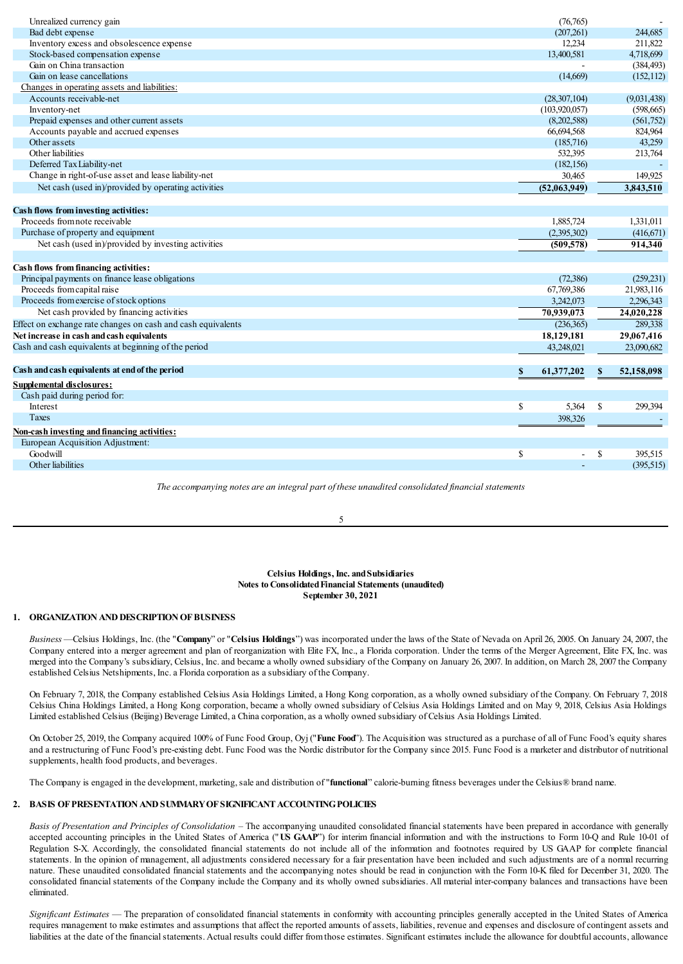| Unrealized currency gain                                     |              | (76, 765)       |               |             |
|--------------------------------------------------------------|--------------|-----------------|---------------|-------------|
| Bad debt expense                                             |              | (207, 261)      |               | 244,685     |
| Inventory excess and obsolescence expense                    |              | 12,234          |               | 211,822     |
| Stock-based compensation expense                             |              | 13,400,581      |               | 4,718,699   |
| Gain on China transaction                                    |              |                 |               | (384, 493)  |
| Gain on lease cancellations                                  |              | (14,669)        |               | (152, 112)  |
| Changes in operating assets and liabilities:                 |              |                 |               |             |
| Accounts receivable-net                                      |              | (28, 307, 104)  |               | (9,031,438) |
| Inventory-net                                                |              | (103, 920, 057) |               | (598, 665)  |
| Prepaid expenses and other current assets                    |              | (8,202,588)     |               | (561,752)   |
| Accounts payable and accrued expenses                        |              | 66,694,568      |               | 824,964     |
| Other assets                                                 |              | (185,716)       |               | 43,259      |
| Other liabilities                                            |              | 532,395         |               | 213,764     |
| Deferred Tax Liability-net                                   |              | (182, 156)      |               |             |
| Change in right-of-use asset and lease liability-net         |              | 30,465          |               | 149,925     |
| Net cash (used in)/provided by operating activities          |              | (52,063,949)    |               | 3,843,510   |
|                                                              |              |                 |               |             |
| Cash flows from investing activities:                        |              |                 |               |             |
| Proceeds from note receivable                                |              | 1,885,724       |               | 1,331,011   |
| Purchase of property and equipment                           |              | (2,395,302)     |               | (416, 671)  |
| Net cash (used in)/provided by investing activities          |              | (509, 578)      |               | 914,340     |
|                                                              |              |                 |               |             |
| Cash flows from financing activities:                        |              |                 |               |             |
| Principal payments on finance lease obligations              |              | (72, 386)       |               | (259, 231)  |
| Proceeds from capital raise                                  |              | 67,769,386      |               | 21,983,116  |
| Proceeds from exercise of stock options                      |              | 3,242,073       |               | 2,296,343   |
| Net cash provided by financing activities                    |              | 70,939,073      |               | 24,020,228  |
| Effect on exchange rate changes on cash and cash equivalents |              | (236, 365)      |               | 289,338     |
| Net increase in cash and cash equivalents                    |              | 18,129,181      |               | 29,067,416  |
| Cash and cash equivalents at beginning of the period         |              | 43,248,021      |               | 23,090,682  |
|                                                              |              |                 |               |             |
| Cash and cash equivalents at end of the period               | $\mathbf{s}$ | 61,377,202      | $\mathbf{s}$  | 52,158,098  |
| <b>Supplemental disclosures:</b>                             |              |                 |               |             |
| Cash paid during period for:                                 |              |                 |               |             |
| Interest                                                     | \$           | 5,364           | <sup>\$</sup> | 299,394     |
| <b>Taxes</b>                                                 |              | 398,326         |               |             |
| Non-cash investing and financing activities:                 |              |                 |               |             |
| European Acquisition Adjustment:                             |              |                 |               |             |
| Goodwill                                                     | \$           | $\blacksquare$  | \$            | 395.515     |
| Other liabilities                                            |              |                 |               | (395, 515)  |

*The accompanying notes are an integral part of these unaudited consolidated financial statements*

5

#### **Celsius Holdings, Inc. andSubsidiaries Notes toConsolidatedFinancial Statements (unaudited) September 30, 2021**

# **1. ORGANIZATIONANDDESCRIPTIONOFBUSINESS**

*Business* —Celsius Holdings, Inc. (the "**Company**" or"**Celsius Holdings**") was incorporated under the laws of the State of Nevada on April 26, 2005. On January 24, 2007, the Company entered into a merger agreement and plan of reorganization with Elite FX, Inc., a Florida corporation. Under the terms of the Merger Agreement, Elite FX, Inc. was merged into the Company's subsidiary, Celsius, Inc.and became a wholly owned subsidiary of the Company on January 26, 2007. In addition, on March 28, 2007 the Company established Celsius Netshipments, Inc.a Florida corporation as a subsidiary of the Company.

On February 7, 2018, the Company established Celsius Asia Holdings Limited, a Hong Kong corporation, as a wholly owned subsidiary of the Company. On February 7, 2018 Celsius China Holdings Limited, a Hong Kong corporation, became a wholly owned subsidiary of Celsius Asia Holdings Limited and on May 9, 2018, Celsius Asia Holdings Limited established Celsius (Beijing) Beverage Limited, a China corporation, as a wholly owned subsidiary of Celsius Asia Holdings Limited.

On October 25, 2019, the Company acquired 100% of Func Food Group, Oyj ("**Func Food**"). The Acquisition was structured as a purchase ofall of Func Food's equity shares and a restructuring of Func Food's pre-existing debt. Func Food was the Nordic distributor for the Company since 2015. Func Food is a marketerand distributor of nutritional supplements, health food products, and beverages.

The Company is engaged in the development, marketing, sale and distribution of"**functional**" calorie-burning fitness beverages under the Celsius® brand name.

# **2. BASIS OFPRESENTATIONANDSUMMARYOFSIGNIFICANTACCOUNTINGPOLICIES**

*Basis of Presentation and Principles of Consolidation –* The accompanying unaudited consolidated financial statements have been prepared in accordance with generally accepted accounting principles in the United States of America ("**US GAAP**") for interim financial information and with the instructions to Form 10-Q and Rule 10-01 of Regulation S-X. Accordingly, the consolidated financial statements do not include all of the information and footnotes required by US GAAP for complete financial statements. In the opinion of management, all adjustments considered necessary for a fair presentation have been included and such adjustments are of a normal recurring nature. These unaudited consolidated financial statements and the accompanying notes should be read in conjunction with the Form10-K filed for December 31, 2020. The consolidated financial statements of the Company include the Company and its wholly owned subsidiaries. All material inter-company balances and transactions have been eliminated.

*Significant Estimates* — The preparation of consolidated financial statements in conformity with accounting principles generally accepted in the United States of America requires management to make estimates and assumptions that affect the reported amounts ofassets, liabilities, revenue and expenses and disclosure ofcontingent assets and liabilities at the date of the financial statements. Actual results could differ from those estimates. Significant estimates include the allowance for doubtful accounts, allowance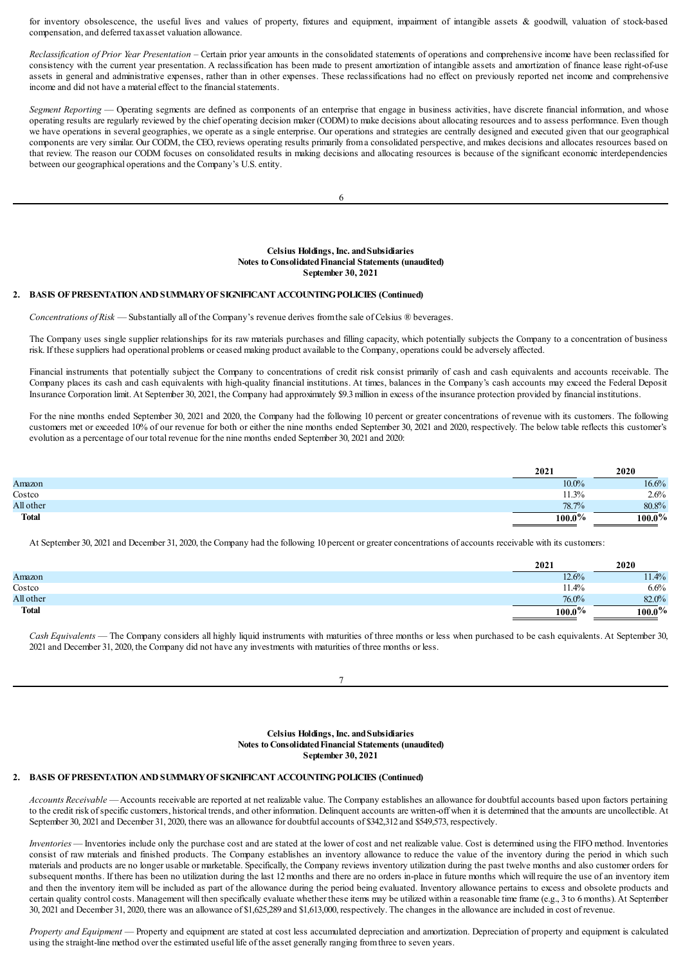for inventory obsolescence, the useful lives and values of property, fixtures and equipment, impairment of intangible assets & goodwill, valuation of stock-based compensation,and deferred taxasset valuation allowance.

*Reclassification of Prior Year Presentation –* Certain prior year amounts in the consolidated statements of operations and comprehensive income have been reclassified for consistency with the current year presentation. A reclassification has been made to present amortization of intangible assets and amortization of finance lease right-of-use assets in general and administrative expenses, rather than in other expenses. These reclassifications had no effect on previously reported net income and comprehensive income and did not have a material effect to the financial statements.

*Segment Reporting* — Operating segments are defined as components of an enterprise that engage in business activities, have discrete financial information, and whose operating results are regularly reviewed by the chief operating decision maker (CODM) to make decisions about allocating resources and to assess performance. Even though we have operations in several geographies, we operate as a single enterprise. Our operations and strategies are centrally designed and executed given that our geographical components are very similar. Our CODM, the CEO, reviews operating results primarily froma consolidated perspective,and makes decisions and allocates resources based on that review. The reason our CODM focuses on consolidated results in making decisions and allocating resources is because of the significant economic interdependencies between our geographical operations and the Company's U.S. entity.

6

**Celsius Holdings, Inc. andSubsidiaries Notes toConsolidatedFinancial Statements (unaudited) September 30, 2021**

# **2. BASIS OFPRESENTATIONANDSUMMARYOFSIGNIFICANTACCOUNTINGPOLICIES (Continued)**

*Concentrations of Risk* — Substantially all of the Company's revenue derives fromthe sale of Celsius ® beverages.

The Company uses single supplier relationships for its raw materials purchases and filling capacity, which potentially subjects the Company to a concentration of business risk. If these suppliers had operational problems orceased making product available to the Company, operations could be adversely affected.

Financial instruments that potentially subject the Company to concentrations of credit risk consist primarily of cash and cash equivalents and accounts receivable. The Company places its cash and cash equivalents with high-quality financial institutions. At times, balances in the Company's cash accounts may exceed the Federal Deposit Insurance Corporation limit. At September 30, 2021, the Company had approximately \$9.3million in excess of the insurance protection provided by financial institutions.

For the nine months ended September 30, 2021 and 2020, the Company had the following 10 percent or greater concentrations of revenue with its customers. The following customers met or exceeded 10% of our revenue for both or either the nine months ended September 30, 2021 and 2020, respectively. The below table reflects this customer's evolution as a percentage of our total revenue for the nine months ended September 30, 2021 and 2020:

|              | 2021      | 2020      |
|--------------|-----------|-----------|
| Amazon       | $10.0\%$  | 16.6%     |
| Costco       | 11.3%     | 2.6%      |
| All other    | 78.7%     | 80.8%     |
| <b>Total</b> | $100.0\%$ | $100.0\%$ |

At September 30, 2021 and December 31, 2020, the Company had the following 10 percent or greater concentrations of accounts receivable with its customers:

|              | 2021      | 2020      |
|--------------|-----------|-----------|
| Amazon       | 12.6%     | 11.4%     |
| Costco       | 11.4%     | 6.6%      |
| All other    | $76.0\%$  | 82.0%     |
| <b>Total</b> | $100.0\%$ | $100.0\%$ |

*Cash Equivalents* — The Company considers all highly liquid instruments with maturities of three months or less when purchased to be cash equivalents. At September 30, 2021 and December 31, 2020, the Company did not have any investments with maturities of three months or less.

7

**Celsius Holdings, Inc. andSubsidiaries Notes toConsolidatedFinancial Statements (unaudited) September 30, 2021**

#### **2. BASIS OFPRESENTATIONANDSUMMARYOFSIGNIFICANTACCOUNTINGPOLICIES (Continued)**

*Accounts Receivable* —Accounts receivable are reported at net realizable value. The Company establishes an allowance for doubtfulaccounts based upon factors pertaining to the credit risk of specific customers, historical trends, and other information. Delinquent accounts are written-off when it is determined that the amounts are uncollectible. At September 30, 2021 and December 31, 2020, there was an allowance for doubtfulaccounts of \$342,312 and \$549,573, respectively.

*Inventories* — Inventories include only the purchase cost and are stated at the lower of cost and net realizable value. Cost is determined using the FIFO method. Inventories consist of raw materials and finished products. The Company establishes an inventory allowance to reduce the value of the inventory during the period in which such materials and products are no longer usable or marketable. Specifically, the Company reviews inventory utilization during the past twelve months and also customer orders for subsequent months. If there has been no utilization during the last 12 months and there are no orders in-place in future months which will require the use of an inventory item and then the inventory item will be included as part of the allowance during the period being evaluated. Inventory allowance pertains to excess and obsolete products and certain quality control costs. Management will then specifically evaluate whether these items may be utilized within a reasonable time frame (e.g., 3 to 6 months). At September 30, 2021 and December 31, 2020, there was an allowance of \$1,625,289 and \$1,613,000, respectively. The changes in the allowance are included in cost of revenue.

*Property and Equipment* — Property and equipment are stated at cost less accumulated depreciation and amortization. Depreciation of property and equipment is calculated using the straight-line method over the estimated useful life of the asset generally ranging fromthree to seven years.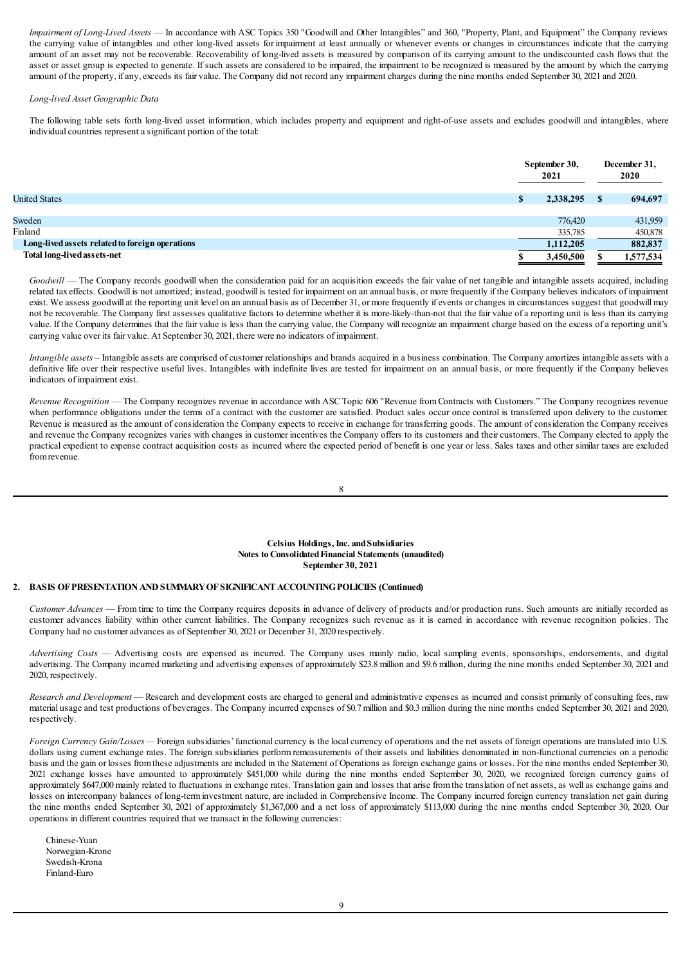*Impairment of Long-Lived Assets* — In accordance with ASC Topics 350 "Goodwill and Other Intangibles" and 360, "Property, Plant, and Equipment" the Company reviews the carrying value of intangibles and other long-lived assets for impairment at least annually or whenever events or changes in circumstances indicate that the carrying amount of an asset may not be recoverable. Recoverability of long-lived assets is measured by comparison of its carrying amount to the undiscounted cash flows that the asset or asset group is expected to generate. If such assets are considered to be impaired, the impairment to be recognized is measured by the amount by which the carrying amount of the property, ifany,exceeds its fair value. The Company did not record any impairment charges during the nine months ended September 30, 2021 and 2020.

# *Long-lived Asset Geographic Data*

The following table sets forth long-lived asset information, which includes property and equipment and right-of-use assets and excludes goodwill and intangibles, where individual countries represent a significant portion of the total:

|                                                 |  | September 30,<br>2021 | December 31,<br>2020 |           |
|-------------------------------------------------|--|-----------------------|----------------------|-----------|
| <b>United States</b>                            |  | 2,338,295             |                      | 694,697   |
| Sweden                                          |  | 776,420               |                      | 431,959   |
| Finland                                         |  | 335,785               |                      | 450,878   |
| Long-lived assets related to foreign operations |  | 1,112,205             |                      | 882,837   |
| Total long-lived assets-net                     |  | 3,450,500             |                      | 1,577,534 |

*Goodwill* — The Company records goodwill when the consideration paid for an acquisition exceeds the fair value of net tangible and intangible assets acquired, including related taxeffects. Goodwill is not amortized; instead, goodwill is tested for impairment on an annual basis, ormore frequently if the Company believes indicators of impairment exist. We assess goodwill at the reporting unit level on an annual basis as of December 31, or more frequently if events or changes in circumstances suggest that goodwill may not be recoverable. The Company first assesses qualitative factors to determine whether it is more-likely-than-not that the fair value ofa reporting unit is less than its carrying value. If the Company determines that the fair value is less than the carrying value, the Company will recognize an impairment charge based on the excess ofa reporting unit's carrying value over its fair value. At September 30, 2021, there were no indicators of impairment.

*Intangible assets* – Intangible assets are comprised of customer relationships and brands acquired in a business combination. The Company amortizes intangible assets with a definitive life over their respective useful lives. Intangibles with indefinite lives are tested for impairment on an annual basis, or more frequently if the Company believes indicators of impairment exist.

*Revenue Recognition* — The Company recognizes revenue in accordance with ASC Topic 606 "Revenue from Contracts with Customers." The Company recognizes revenue when performance obligations under the terms of a contract with the customer are satisfied. Product sales occur once control is transferred upon delivery to the customer. Revenue is measured as the amount of consideration the Company expects to receive in exchange for transferring goods. The amount of consideration the Company receives and revenue the Company recognizes varies with changes in customer incentives the Company offers to its customers and their customers. The Company elected to apply the practical expedient to expense contract acquisition costs as incurred where the expected period of benefit is one year or less. Sales taxes and other similar taxes are excluded fromrevenue.

$$
8 \\
$$

**Celsius Holdings, Inc. andSubsidiaries Notes toConsolidatedFinancial Statements (unaudited) September 30, 2021**

# **2. BASIS OFPRESENTATIONANDSUMMARYOFSIGNIFICANTACCOUNTINGPOLICIES (Continued)**

*Customer Advances* — Fromtime to time the Company requires deposits in advance of delivery of products and/or production runs. Such amounts are initially recorded as customer advances liability within other current liabilities. The Company recognizes such revenue as it is earned in accordance with revenue recognition policies. The Company had no customer advances as of September 30, 2021 or December 31, 2020 respectively.

*Advertising Costs* — Advertising costs are expensed as incurred. The Company uses mainly radio, local sampling events, sponsorships, endorsements, and digital advertising. The Company incurred marketing and advertising expenses of approximately \$23.8 million and \$9.6 million, during the nine months ended September 30, 2021 and 2020, respectively.

*Research and Development* — Research and development costs are charged to generaland administrative expenses as incurred and consist primarily of consulting fees, raw material usage and test productions of beverages. The Company incurred expenses of \$0.7million and \$0.3 million during the nine months ended September 30, 2021 and 2020, respectively.

*Foreign Currency Gain/Losses* — Foreign subsidiaries' functional currency is the local currency of operations and the net assets of foreign operations are translated into U.S. dollars using current exchange rates. The foreign subsidiaries perform remeasurements of their assets and liabilities denominated in non-functional currencies on a periodic basis and the gain or losses fromthese adjustments are included in the Statement of Operations as foreign exchange gains or losses. For the nine months ended September 30, 2021 exchange losses have amounted to approximately \$451,000 while during the nine months ended September 30, 2020, we recognized foreign currency gains of approximately \$647,000 mainly related to fluctuations in exchange rates. Translation gain and losses that arise from the translation of net assets, as well as exchange gains and losses on intercompany balances of long-terminvestment nature, are included in Comprehensive Income. The Company incurred foreign currency translation net gain during the nine months ended September 30, 2021 of approximately \$1,367,000 and a net loss of approximately \$113,000 during the nine months ended September 30, 2020. Our operations in different countries required that we transact in the following currencies:

Chinese-Yuan Norwegian-Krone Swedish-Krona Finland-Euro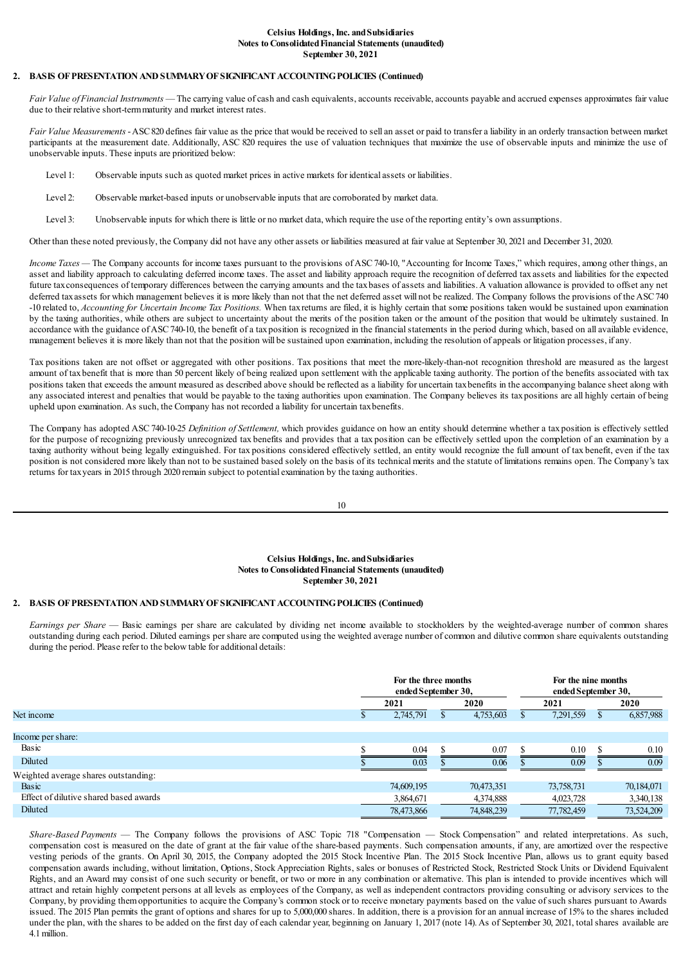#### **Celsius Holdings, Inc. andSubsidiaries Notes toConsolidatedFinancial Statements (unaudited) September 30, 2021**

#### **2. BASIS OFPRESENTATIONANDSUMMARYOFSIGNIFICANTACCOUNTINGPOLICIES (Continued)**

*Fair Value of Financial Instruments* — The carrying value of cash and cash equivalents, accounts receivable, accounts payable and accrued expenses approximates fair value due to their relative short-termmaturity and market interest rates.

*Fair Value Measurements* -ASC820 defines fair value as the price that would be received to sellan asset or paid to transfera liability in an orderly transaction between market participants at the measurement date. Additionally, ASC 820 requires the use of valuation techniques that maximize the use of observable inputs and minimize the use of unobservable inputs. These inputs are prioritized below:

- Level 1: Observable inputs such as quoted market prices in active markets for identical assets or liabilities.
- Level 2: Observable market-based inputs or unobservable inputs that are corroborated by market data.
- Level 3: Unobservable inputs for which there is little or no market data, which require the use of the reporting entity's own assumptions.

Other than these noted previously, the Company did not have any otherassets or liabilities measured at fair value at September 30, 2021 and December 31, 2020.

*Income Taxes* — The Company accounts for income taxes pursuant to the provisions of ASC 740-10, "Accounting for Income Taxes," which requires, among other things, an asset and liability approach to calculating deferred income taxes. The asset and liability approach require the recognition of deferred tax assets and liabilities for the expected future tax consequences of temporary differences between the carrying amounts and the tax bases of assets and liabilities. A valuation allowance is provided to offset any net deferred tax assets for which management believes it is more likely than not that the net deferred asset will not be realized. The Company follows the provisions of the ASC 740 -10 related to, *Accounting for Uncertain Income Tax Positions.* When taxreturns are filed, it is highly certain that some positions taken would be sustained upon examination by the taxing authorities, while others are subject to uncertainty about the merits of the position taken or the amount of the position that would be ultimately sustained. In accordance with the guidance of ASC 740-10, the benefit of a tax position is recognized in the financial statements in the period during which, based on all available evidence, management believes it is more likely than not that the position will be sustained upon examination, including the resolution ofappeals or litigation processes, ifany.

Tax positions taken are not offset or aggregated with other positions. Tax positions that meet the more-likely-than-not recognition threshold are measured as the largest amount of tax benefit that is more than 50 percent likely of being realized upon settlement with the applicable taxing authority. The portion of the benefits associated with tax positions taken that exceeds the amount measured as described above should be reflected as a liability for uncertain taxbenefits in the accompanying balance sheet along with any associated interest and penalties that would be payable to the taxing authorities upon examination. The Company believes its tax positions are all highly certain of being upheld upon examination. As such, the Company has not recorded a liability for uncertain taxbenefits.

The Company has adopted ASC 740-10-25 *Definition of Settlement,* which provides guidance on how an entity should determine whether a tax position is effectively settled for the purpose of recognizing previously unrecognized tax benefits and provides that a tax position can be effectively settled upon the completion of an examination by a taxing authority without being legally extinguished. For tax positions considered effectively settled, an entity would recognize the full amount of tax benefit, even if the tax position is not considered more likely than not to be sustained based solely on the basis of its technical merits and the statute of limitations remains open. The Company's tax returns for taxyears in 2015 through 2020 remain subject to potentialexamination by the taxing authorities.

$$
10\quad
$$

# **Celsius Holdings, Inc. andSubsidiaries Notes toConsolidatedFinancial Statements (unaudited) September 30, 2021**

#### **2. BASIS OFPRESENTATIONANDSUMMARYOFSIGNIFICANTACCOUNTINGPOLICIES (Continued)**

*Earnings per Share* — Basic earnings per share are calculated by dividing net income available to stockholders by the weighted-average number of common shares outstanding during each period. Diluted earnings per share are computed using the weighted average number ofcommon and dilutive common share equivalents outstanding during the period. Please refer to the below table for additional details:

|                                        | For the three months<br>ended September 30, |   |            |  | For the nine months<br>ended September 30, |   |            |  |
|----------------------------------------|---------------------------------------------|---|------------|--|--------------------------------------------|---|------------|--|
|                                        | 2021                                        |   | 2020       |  | 2021                                       |   | 2020       |  |
| Net income                             | 2,745,791                                   | ъ | 4,753,603  |  | 7,291,559                                  |   | 6,857,988  |  |
| Income per share:<br>Basic             | 0.04                                        | S | 0.07       |  | 0.10                                       | S | 0.10       |  |
| Diluted                                | 0.03                                        |   | 0.06       |  | 0.09                                       |   | 0.09       |  |
| Weighted average shares outstanding:   |                                             |   |            |  |                                            |   |            |  |
| Basic                                  | 74,609,195                                  |   | 70,473,351 |  | 73,758,731                                 |   | 70,184,071 |  |
| Effect of dilutive shared based awards | 3,864,671                                   |   | 4,374,888  |  | 4,023,728                                  |   | 3,340,138  |  |
| Diluted                                | 78,473,866                                  |   | 74,848,239 |  | 77,782,459                                 |   | 73,524,209 |  |

*Share-Based Payments* — The Company follows the provisions of ASC Topic 718 "Compensation — Stock Compensation" and related interpretations. As such, compensation cost is measured on the date of grant at the fair value of the share-based payments. Such compensation amounts, if any, are amortized over the respective vesting periods of the grants. On April 30, 2015, the Company adopted the 2015 Stock Incentive Plan. The 2015 Stock Incentive Plan, allows us to grant equity based compensation awards including, without limitation, Options, StockAppreciation Rights, sales or bonuses of Restricted Stock, Restricted Stock Units or Dividend Equivalent Rights, and an Award may consist of one such security or benefit, or two or more in any combination or alternative. This plan is intended to provide incentives which will attract and retain highly competent persons at all levels as employees of the Company, as well as independent contractors providing consulting or advisory services to the Company, by providing themopportunities to acquire the Company's common stock or to receive monetary payments based on the value of such shares pursuant to Awards issued. The 2015 Plan permits the grant of options and shares for up to 5,000,000 shares. In addition, there is a provision foran annual increase of 15% to the shares included under the plan, with the shares to be added on the first day of each calendar year, beginning on January 1, 2017 (note 14). As of September 30, 2021, total shares available are 4.1million.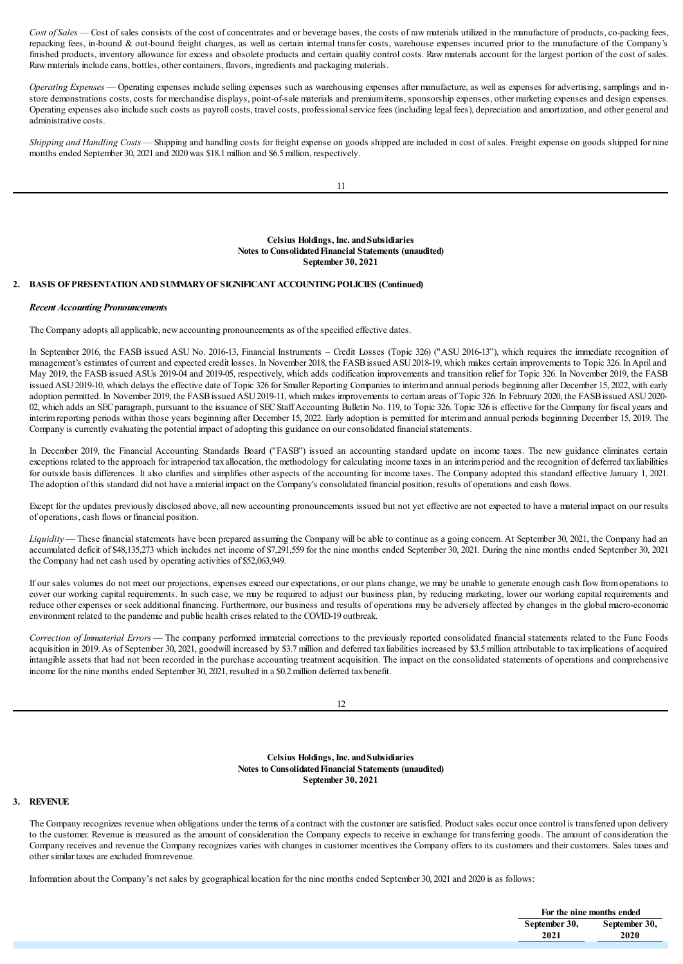Cost of Sales — Cost of sales consists of the cost of concentrates and or beverage bases, the costs of raw materials utilized in the manufacture of products, co-packing fees, repacking fees, in-bound & out-bound freight charges, as well as certain internal transfer costs, warehouse expenses incurred prior to the manufacture of the Company's finished products, inventory allowance for excess and obsolete products and certain quality control costs. Raw materials account for the largest portion of the cost of sales. Raw materials include cans, bottles, other containers, flavors, ingredients and packaging materials.

*Operating Expenses* — Operating expenses include selling expenses such as warehousing expenses after manufacture, as well as expenses for advertising, samplings and instore demonstrations costs, costs for merchandise displays, point-of-sale materials and premium items, sponsorship expenses, other marketing expenses and design expenses. Operating expenses also include such costs as payrollcosts, travelcosts, professionalservice fees (including legal fees), depreciation and amortization,and other generaland administrative costs.

*Shipping and Handling Costs* — Shipping and handling costs for freight expense on goods shipped are included in cost of sales. Freight expense on goods shipped for nine months ended September 30, 2021 and 2020 was \$18.1 million and \$6.5 million, respectively.

11

**Celsius Holdings, Inc. andSubsidiaries Notes toConsolidatedFinancial Statements (unaudited) September 30, 2021**

# **2. BASIS OFPRESENTATIONANDSUMMARYOFSIGNIFICANTACCOUNTINGPOLICIES (Continued)**

#### *Recent Accounting Pronouncements*

The Company adopts all applicable, new accounting pronouncements as of the specified effective dates.

In September 2016, the FASB issued ASU No. 2016-13, Financial Instruments – Credit Losses (Topic 326) ("ASU 2016-13"), which requires the immediate recognition of management's estimates ofcurrent and expected credit losses. In November 2018, the FASBissued ASU2018-19, which makes certain improvements to Topic 326. In Apriland May 2019, the FASB issued ASUs 2019-04 and 2019-05, respectively, which adds codification improvements and transition relief for Topic 326. In November 2019, the FASB issued ASU 2019-10, which delays the effective date of Topic 326 for Smaller Reporting Companies to interimand annual periods beginning after December 15, 2022, with early adoption permitted. In November 2019, the FASB issued ASU 2019-11, which makes improvements to certain areas of Topic 326. In February 2020, the FASB issued ASU 2020-02, which adds an SEC paragraph, pursuant to the issuance of SEC Staff Accounting Bulletin No. 119, to Topic 326. Topic 326 is effective for the Company for fiscal years and interimreporting periods within those years beginning after December 15, 2022. Early adoption is permitted for interimand annual periods beginning December 15, 2019. The Company is currently evaluating the potential impact of adopting this guidance on our consolidated financial statements.

In December 2019, the Financial Accounting Standards Board ("FASB") issued an accounting standard update on income taxes. The new guidance eliminates certain exceptions related to the approach for intraperiod tax allocation, the methodology for calculating income taxes in an interimperiod and the recognition of deferred tax liabilities for outside basis differences. It also clarifies and simplifies other aspects of the accounting for income taxes. The Company adopted this standard effective January 1, 2021. The adoption of this standard did not have a material impact on the Company's consolidated financial position, results of operations and cash flows.

Except for the updates previously disclosed above, all new accounting pronouncements issued but not yet effective are not expected to have a material impact on our results of operations,cash flows or financial position.

*Liquidity* — These financial statements have been prepared assuming the Company will be able to continue as a going concern.At September 30, 2021, the Company had an accumulated deficit of \$48,135,273 which includes net income of \$7,291,559 for the nine months ended September 30, 2021. During the nine months ended September 30, 2021 the Company had net cash used by operating activities of \$52,063,949.

If our sales volumes do not meet our projections, expenses exceed ourexpectations, or our plans change, we may be unable to generate enough cash flow fromoperations to cover our working capital requirements. In such case, we may be required to adjust our business plan, by reducing marketing, lower our working capital requirements and reduce other expenses or seek additional financing. Furthermore, our business and results of operations may be adversely affected by changes in the global macro-economic environment related to the pandemic and public health crises related to the COVID-19 outbreak.

*Correction of Immaterial Errors* — The company performed immaterial corrections to the previously reported consolidated financial statements related to the Func Foods acquisition in 2019. As of September 30, 2021, goodwill increased by \$3.7 million and deferred tax liabilities increased by \$3.5 million attributable to tax implications of acquired intangible assets that had not been recorded in the purchase accounting treatment acquisition. The impact on the consolidated statements of operations and comprehensive income for the nine months ended September 30, 2021, resulted in a \$0.2million deferred taxbenefit.

12

**Celsius Holdings, Inc. andSubsidiaries Notes toConsolidatedFinancial Statements (unaudited) September 30, 2021**

#### **3. REVENUE**

The Company recognizes revenue when obligations under the terms of a contract with the customer are satisfied. Product sales occur once control is transferred upon delivery to the customer. Revenue is measured as the amount of consideration the Company expects to receive in exchange for transferring goods. The amount of consideration the Company receives and revenue the Company recognizes varies with changes in customer incentives the Company offers to its customers and their customers. Sales taxes and other similar taxes are excluded from revenue.

Information about the Company's net sales by geographical location for the nine months ended September 30, 2021 and 2020 is as follows:

| For the nine months ended      |      |  |  |  |
|--------------------------------|------|--|--|--|
| September 30,<br>September 30, |      |  |  |  |
| 2021                           | 2020 |  |  |  |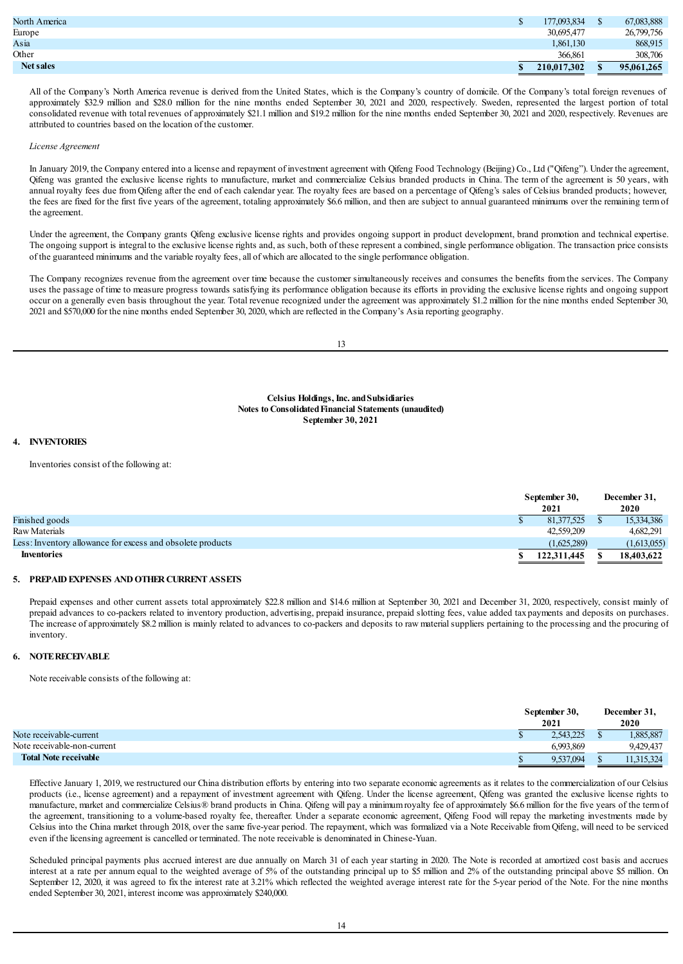| North America | 177,093,834 | 67,083,888 |
|---------------|-------------|------------|
| Europe        | 30,695,477  | 26,799,756 |
| Asia          | 1,861,130   | 868,915    |
| Other         | 366,861     | 308,706    |
| Net sales     | 210,017,302 | 95,061,265 |

All of the Company's North America revenue is derived from the United States, which is the Company's country of domicile. Of the Company's total foreign revenues of approximately \$32.9 million and \$28.0 million for the nine months ended September 30, 2021 and 2020, respectively. Sweden, represented the largest portion of total consolidated revenue with total revenues ofapproximately \$21.1million and \$19.2 million for the nine months ended September 30, 2021 and 2020, respectively. Revenues are attributed to countries based on the location of the customer.

# *License Agreement*

In January 2019, the Company entered into a license and repayment of investment agreement with Qifeng Food Technology (Beijing) Co., Ltd ("Qifeng"). Under the agreement, Qifeng was granted the exclusive license rights to manufacture, market and commercialize Celsius branded products in China. The term of the agreement is 50 years, with annual royalty fees due fromQifeng after the end of each calendar year. The royalty fees are based on a percentage of Qifeng's sales of Celsius branded products; however, the fees are fixed for the first five years of the agreement, totaling approximately \$6.6 million, and then are subject to annual guaranteed minimums over the remaining term of the agreement.

Under the agreement, the Company grants Oifeng exclusive license rights and provides ongoing support in product development, brand promotion and technical expertise. The ongoing support is integral to the exclusive license rights and, as such, both of these represent a combined, single performance obligation. The transaction price consists of the guaranteed minimums and the variable royalty fees,all of which are allocated to the single performance obligation.

The Company recognizes revenue fromthe agreement over time because the customer simultaneously receives and consumes the benefits fromthe services. The Company uses the passage of time to measure progress towards satisfying its performance obligation because its efforts in providing the exclusive license rights and ongoing support occur on a generally even basis throughout the year. Total revenue recognized under the agreement was approximately \$1.2 million for the nine months ended September 30, 2021 and \$570,000 for the nine months ended September 30, 2020, which are reflected in the Company's Asia reporting geography.

13

#### **Celsius Holdings, Inc. andSubsidiaries Notes toConsolidatedFinancial Statements (unaudited) September 30, 2021**

# **4. INVENTORIES**

Inventories consist of the following at:

|                                                            | September 30. |             | December 31, |
|------------------------------------------------------------|---------------|-------------|--------------|
|                                                            |               | 2021        | 2020         |
| Finished goods                                             |               | 81,377,525  | 15,334,386   |
| Raw Materials                                              |               | 42,559,209  | 4.682.291    |
| Less: Inventory allowance for excess and obsolete products |               | (1.625.289) | (1,613,055)  |
| Inventories                                                |               | 122,311,445 | 18,403,622   |

# **5. PREPAIDEXPENSES ANDOTHERCURRENTASSETS**

Prepaid expenses and other current assets total approximately \$22.8 million and \$14.6 million at September 30, 2021 and December 31, 2020, respectively, consist mainly of prepaid advances to co-packers related to inventory production, advertising, prepaid insurance, prepaid slotting fees, value added tax payments and deposits on purchases. The increase ofapproximately \$8.2million is mainly related to advances to co-packers and deposits to rawmaterialsuppliers pertaining to the processing and the procuring of inventory.

# **6. NOTERECEIVABLE**

Note receivable consists of the following at:

|                              | September 30, | December 31, |  |  |
|------------------------------|---------------|--------------|--|--|
|                              | 2021          | 2020         |  |  |
| Note receivable-current      | 2.543.225     | 1,885,887    |  |  |
| Note receivable-non-current  | 6.993.869     | 9.429.437    |  |  |
| <b>Total Note receivable</b> | 9.537.094     | 1,315,324    |  |  |

Effective January 1, 2019, we restructured our China distribution efforts by entering into two separate economic agreements as it relates to the commercialization of our Celsius products (i.e., license agreement) and a repayment of investment agreement with Qifeng. Under the license agreement, Qifeng was granted the exclusive license rights to manufacture, market and commercialize Celsius® brand products in China. Qifeng will pay a minimumroyalty fee of approximately \$6.6 million for the five years of the termof the agreement, transitioning to a volume-based royalty fee, thereafter. Under a separate economic agreement, Qifeng Food will repay the marketing investments made by Celsius into the China market through 2018, over the same five-year period. The repayment, which was formalized via a Note Receivable fromQifeng, will need to be serviced even if the licensing agreement is cancelled or terminated. The note receivable is denominated in Chinese-Yuan.

Scheduled principal payments plus accrued interest are due annually on March 31 of each year starting in 2020. The Note is recorded at amortized cost basis and accrues interest at a rate per annum equal to the weighted average of 5% of the outstanding principal up to \$5 million and 2% of the outstanding principal above \$5 million. On September 12, 2020, it was agreed to fix the interest rate at 3.21% which reflected the weighted average interest rate for the 5-year period of the Note. For the nine months ended September 30, 2021, interest income was approximately \$240,000.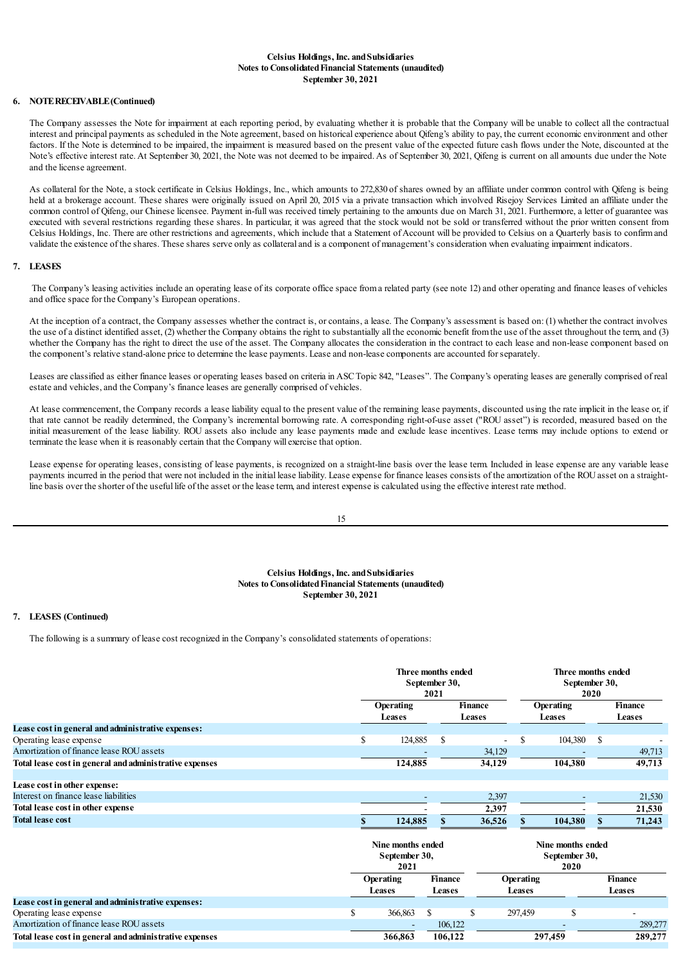# **Celsius Holdings, Inc. andSubsidiaries Notes toConsolidatedFinancial Statements (unaudited) September 30, 2021**

# **6. NOTERECEIVABLE(Continued)**

The Company assesses the Note for impairment at each reporting period, by evaluating whether it is probable that the Company will be unable to collect all the contractual interest and principal payments as scheduled in the Note agreement, based on historicalexperience about Qifeng's ability to pay, the current economic environment and other factors. If the Note is determined to be impaired, the impairment is measured based on the present value of the expected future cash flows under the Note, discounted at the Note's effective interest rate.At September 30, 2021, the Note was not deemed to be impaired.As of September 30, 2021, Qifeng is current on allamounts due under the Note and the license agreement.

As collateral for the Note, a stock certificate in Celsius Holdings, Inc., which amounts to 272,830 of shares owned by an affiliate under common control with Qifeng is being held at a brokerage account. These shares were originally issued on April 20, 2015 via a private transaction which involved Risejoy Services Limited an affiliate under the common control of Qifeng, our Chinese licensee. Payment in-full was received timely pertaining to the amounts due on March 31, 2021. Furthermore, a letter of guarantee was executed with several restrictions regarding these shares. In particular, it was agreed that the stock would not be sold or transferred without the prior written consent from Celsius Holdings, Inc. There are other restrictions and agreements, which include that a Statement of Account will be provided to Celsius on a Quarterly basis to confirm and validate the existence of the shares. These shares serve only as collateraland is a component ofmanagement's consideration when evaluating impairment indicators.

#### **7. LEASES**

The Company's leasing activities include an operating lease of its corporate office space from a related party (see note 12) and other operating and finance leases of vehicles and office space for the Company's European operations.

At the inception of a contract, the Company assesses whether the contract is, or contains, a lease. The Company's assessment is based on: (1) whether the contract involves the use of a distinct identified asset, (2) whether the Company obtains the right to substantially all the economic benefit from the use of the asset throughout the term, and (3) whether the Company has the right to direct the use of the asset. The Company allocates the consideration in the contract to each lease and non-lease component based on the component's relative stand-alone price to determine the lease payments. Lease and non-lease components are accounted forseparately.

Leases are classified as either finance leases or operating leases based on criteria in ASC Topic 842, "Leases". The Company's operating leases are generally comprised of real estate and vehicles, and the Company's finance leases are generally comprised of vehicles.

At lease commencement, the Company records a lease liability equal to the present value of the remaining lease payments, discounted using the rate implicit in the lease or, if that rate cannot be readily determined, the Company's incremental borrowing rate. A corresponding right-of-use asset ("ROU asset") is recorded, measured based on the initial measurement of the lease liability. ROU assets also include any lease payments made and exclude lease incentives. Lease terms may include options to extend or terminate the lease when it is reasonably certain that the Company willexercise that option.

Lease expense for operating leases, consisting of lease payments, is recognized on a straight-line basis over the lease term. Included in lease expense are any variable lease payments incurred in the period that were not included in the initial lease liability. Lease expense for finance leases consists of the amortization of the ROUasset on a straightline basis over the shorter of the useful life of the asset or the lease term,and interest expense is calculated using the effective interest rate method.

#### 15

# **Celsius Holdings, Inc. andSubsidiaries Notes toConsolidatedFinancial Statements (unaudited) September 30, 2021**

# **7. LEASES (Continued)**

The following is a summary of lease cost recognized in the Company's consolidated statements of operations:

|                                                         | Three months ended<br>September 30,<br>2021 |                          |                                            | Three months ended<br>September 30,<br>2020 |           |                     |    |                          |
|---------------------------------------------------------|---------------------------------------------|--------------------------|--------------------------------------------|---------------------------------------------|-----------|---------------------|----|--------------------------|
|                                                         | Operating<br>Leases                         |                          |                                            | <b>Finance</b><br>Leases                    |           | Operating<br>Leases |    | <b>Finance</b><br>Leases |
| Lease cost in general and administrative expenses:      |                                             |                          |                                            |                                             |           |                     |    |                          |
| Operating lease expense                                 | \$                                          | 124,885                  | S                                          | ۰                                           | S         | 104,380             | -S |                          |
| Amortization of finance lease ROU assets                |                                             |                          |                                            | 34,129                                      |           |                     |    | 49,713                   |
| Total lease cost in general and administrative expenses |                                             | 124,885                  |                                            | 34,129                                      |           | 104,380             |    | 49,713                   |
|                                                         |                                             |                          |                                            |                                             |           |                     |    |                          |
| Lease cost in other expense:                            |                                             |                          |                                            |                                             |           |                     |    |                          |
| Interest on finance lease liabilities                   |                                             |                          |                                            | 2,397                                       |           |                     |    | 21,530                   |
| Total lease cost in other expense                       |                                             |                          |                                            | 2,397                                       |           |                     |    | 21,530                   |
| <b>Total lease cost</b>                                 |                                             | 124,885                  |                                            | 36,526                                      |           | 104,380             |    | 71,243                   |
|                                                         | Nine months ended<br>September 30,<br>2021  |                          | Nine months ended<br>September 30,<br>2020 |                                             |           |                     |    |                          |
|                                                         | Operating                                   |                          | <b>Finance</b>                             |                                             | Operating |                     |    | <b>Finance</b>           |
|                                                         | Leases                                      |                          | Leases                                     |                                             | Leases    |                     |    | Leases                   |
| Lease cost in general and administrative expenses:      |                                             |                          |                                            |                                             |           |                     |    |                          |
| Operating lease expense                                 | \$                                          | <sup>\$</sup><br>366,863 |                                            | \$                                          | 297,459   | \$                  |    |                          |
| Amortization of finance lease ROU assets                |                                             |                          | 106,122                                    |                                             |           |                     |    | 289,277                  |
| Total lease cost in general and administrative expenses | 366,863                                     |                          | 106,122                                    |                                             |           | 297,459             |    | 289,277                  |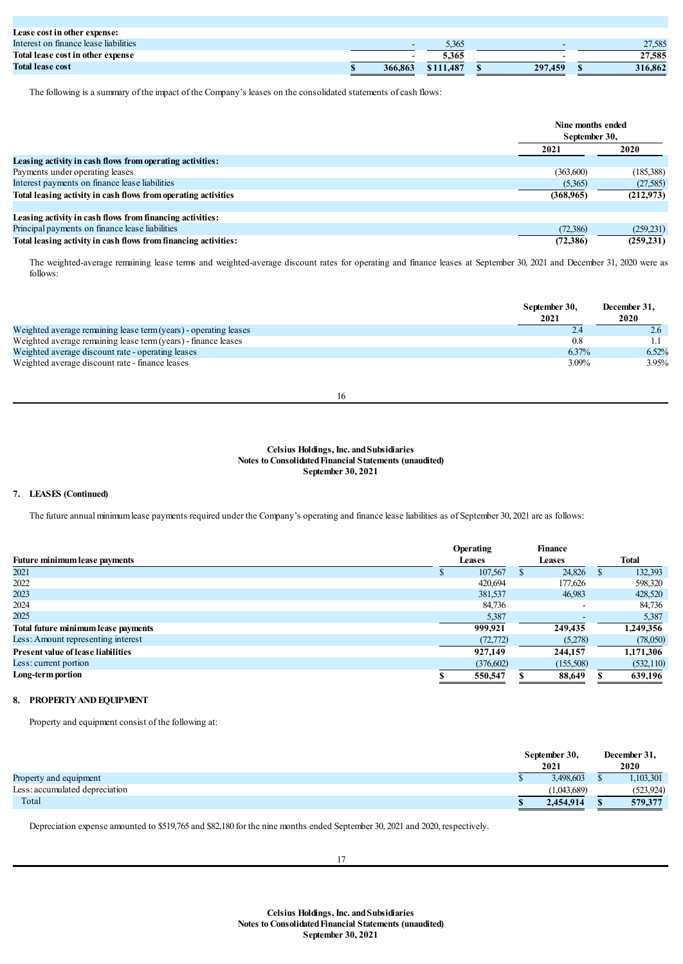| Lease cost in other expense:          |         |           |         |         |
|---------------------------------------|---------|-----------|---------|---------|
| Interest on finance lease liabilities |         | 5.365     |         | 27.585  |
| Total lease cost in other expense     |         | 5.365     |         | 27,585  |
| <b>Total lease cost</b>               | 366.863 | \$111.487 | 297,459 | 316,862 |
|                                       |         |           |         |         |

The following is a summary of the impact of the Company's leases on the consolidated statements of cash flows:

|                                                                 | Nine months ended<br>September 30, |            |
|-----------------------------------------------------------------|------------------------------------|------------|
|                                                                 | 2021                               | 2020       |
| Leasing activity in cash flows from operating activities:       |                                    |            |
| Payments under operating leases                                 | (363,600)                          | (185, 388) |
| Interest payments on finance lease liabilities                  | (5,365)                            | (27, 585)  |
| Total leasing activity in cash flows from operating activities  | (368, 965)                         | (212,973)  |
|                                                                 |                                    |            |
| Leasing activity in cash flows from financing activities:       |                                    |            |
| Principal payments on finance lease liabilities                 | (72, 386)                          | (259, 231) |
| Total leasing activity in cash flows from financing activities: | (72,386)                           | (259, 231) |

The weighted-average remaining lease terms and weighted-average discount rates for operating and finance leases at September 30, 2021 and December 31, 2020 were as follows:

|                                                                  | September 30, | December 31, |
|------------------------------------------------------------------|---------------|--------------|
|                                                                  | 2021          | 2020         |
| Weighted average remaining lease term (years) - operating leases |               | 2.6          |
| Weighted average remaining lease term (years) - finance leases   | 0.8           |              |
| Weighted average discount rate - operating leases                | $6.37\%$      | $6.52\%$     |
| Weighted average discount rate - finance leases                  | 3.09%         | 3.95%        |

16

#### **Celsius Holdings, Inc. andSubsidiaries Notes toConsolidatedFinancial Statements (unaudited) September 30, 2021**

# **7. LEASES (Continued)**

The future annual minimum lease payments required under the Company's operating and finance lease liabilities as of September 30, 2021 are as follows:

| <b>Future minimum lease payments</b>      | Operating<br>Leases | <b>Finance</b><br>Leases | Total      |
|-------------------------------------------|---------------------|--------------------------|------------|
|                                           |                     |                          |            |
| 2021                                      | 107,567             | 24,826                   | 132,393    |
| 2022                                      | 420,694             | 177,626                  | 598,320    |
| 2023                                      | 381,537             | 46,983                   | 428,520    |
| 2024                                      | 84,736              | ۰                        | 84,736     |
| 2025                                      | 5,387               | -                        | 5,387      |
| Total future minimum lease payments       | 999.921             | 249.435                  | 1,249,356  |
| Less: Amount representing interest        | (72, 772)           | (5,278)                  | (78,050)   |
| <b>Present value of lease liabilities</b> | 927,149             | 244,157                  | 1,171,306  |
| Less: current portion                     | (376, 602)          | (155,508)                | (532, 110) |
| Long-term portion                         | 550,547             | 88,649                   | 639,196    |

# **8. PROPERTYANDEQUIPMENT**

Property and equipment consist of the following at:

|                                | September 30, |  | December 31, |
|--------------------------------|---------------|--|--------------|
|                                | 2021          |  | 2020         |
| Property and equipment         | 3,498,603     |  | 1,103,301    |
| Less: accumulated depreciation | (1,043,689)   |  | (523, 924)   |
| Total                          | 2.454.914     |  | 579,377      |

Depreciation expense amounted to \$519,765 and \$82,180 for the nine months ended September 30, 2021 and 2020, respectively.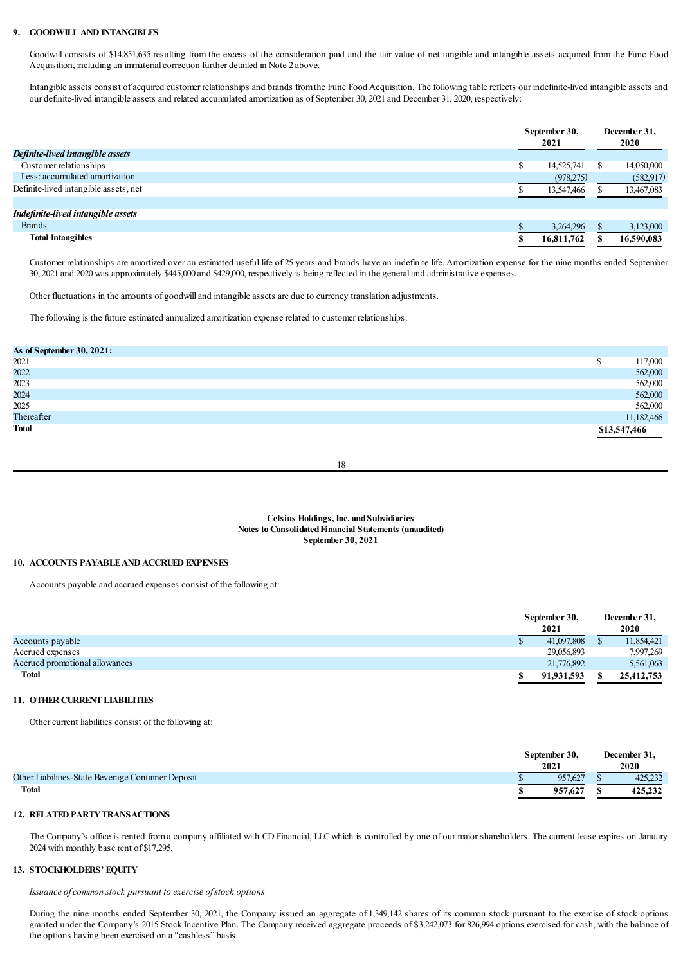# **9. GOODWILLANDINTANGIBLES**

Goodwill consists of \$14,851,635 resulting from the excess of the consideration paid and the fair value of net tangible and intangible assets acquired from the Func Food Acquisition, including an immaterial correction further detailed in Note 2 above.

Intangible assets consist ofacquired customer relationships and brands fromthe Func Food Acquisition. The following table reflects our indefinite-lived intangible assets and our definite-lived intangible assets and related accumulated amortization as of September 30, 2021 and December 31, 2020, respectively:

|                                       | September 30,<br>2021 |  | December 31,<br>2020 |
|---------------------------------------|-----------------------|--|----------------------|
| Definite-lived intangible assets      |                       |  |                      |
| Customer relationships                | 14,525,741            |  | 14,050,000           |
| Less: accumulated amortization        | (978, 275)            |  | (582, 917)           |
| Definite-lived intangible assets, net | 13,547,466            |  | 13,467,083           |
|                                       |                       |  |                      |
| Indefinite-lived intangible assets    |                       |  |                      |
| <b>Brands</b>                         | 3,264,296             |  | 3,123,000            |
| <b>Total Intangibles</b>              | 16,811,762            |  | 16,590,083           |

Customer relationships are amortized over an estimated useful life of 25 years and brands have an indefinite life. Amortization expense for the nine months ended September 30, 2021 and 2020was approximately \$445,000 and \$429,000, respectively is being reflected in the generaland administrative expenses.

Other fluctuations in the amounts of goodwilland intangible assets are due to currency translation adjustments.

The following is the future estimated annualized amortization expense related to customer relationships:

| As of September 30, 2021: |              |
|---------------------------|--------------|
| 2021                      | 117,000      |
| 2022                      | 562,000      |
| 2023                      | 562,000      |
| 2024                      | 562,000      |
| 2025                      | 562,000      |
| Thereafter                | 11,182,466   |
| <b>Total</b>              | \$13,547,466 |

18

#### **Celsius Holdings, Inc. andSubsidiaries Notes toConsolidatedFinancial Statements (unaudited) September 30, 2021**

# **10. ACCOUNTS PAYABLEANDACCRUEDEXPENSES**

Accounts payable and accrued expenses consist of the following at:

|                                | September 30, |  | December 31, |
|--------------------------------|---------------|--|--------------|
|                                | 2021          |  | 2020         |
| Accounts payable               | 41,097,808    |  | 11,854,421   |
| Accrued expenses               | 29,056,893    |  | 7,997,269    |
| Accrued promotional allowances | 21,776,892    |  | 5,561,063    |
| <b>Total</b>                   | 91.931.593    |  | 25,412,753   |

#### **11. OTHER CURRENT LIABILITIES**

Other current liabilities consist of the following at:

|                                                    | September 30,<br>2021 | December 31,<br>2020 |
|----------------------------------------------------|-----------------------|----------------------|
| Other Liabilities-State Beverage Container Deposit | 957,627               | 425.232              |
| <b>Total</b>                                       | 957.627               | 425.232              |

#### **12. RELATED PARTY TRANSACTIONS**

The Company's office is rented froma company affiliated with CD Financial, LLC which is controlled by one of our major shareholders. The current lease expires on January 2024with monthly base rent of \$17,295.

# **13. STOCKHOLDERS' EQUITY**

*Issuance ofcommon stock pursuant to exercise ofstock options*

During the nine months ended September 30, 2021, the Company issued an aggregate of 1,349,142 shares of its common stock pursuant to the exercise of stock options granted under the Company's 2015 Stock Incentive Plan. The Company received aggregate proceeds of \$3,242,073 for 826,994 options exercised for cash, with the balance of the options having been exercised on a "cashless" basis.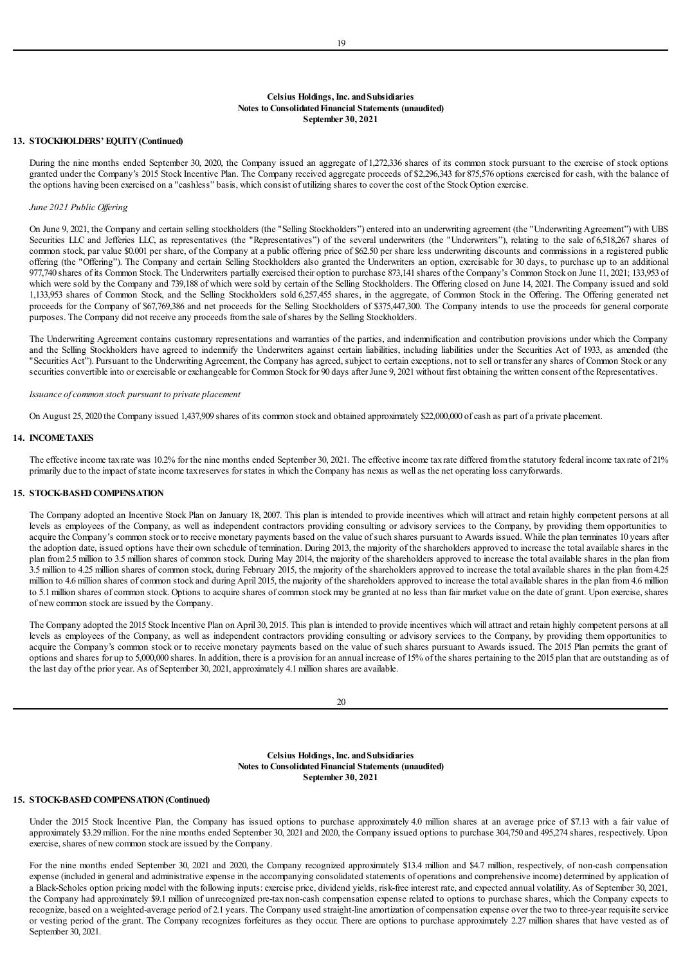#### **Celsius Holdings, Inc. andSubsidiaries Notes toConsolidatedFinancial Statements (unaudited) September 30, 2021**

#### **13. STOCKHOLDERS' EQUITY(Continued)**

During the nine months ended September 30, 2020, the Company issued an aggregate of 1,272,336 shares of its common stock pursuant to the exercise of stock options granted under the Company's 2015 Stock Incentive Plan. The Company received aggregate proceeds of \$2,296,343 for 875,576 options exercised for cash, with the balance of the options having been exercised on a "cashless" basis, which consist of utilizing shares to cover the cost of the StockOption exercise.

#### *June 2021 Public Ofering*

On June 9, 2021, the Company and certain selling stockholders (the "Selling Stockholders")entered into an underwriting agreement (the "Underwriting Agreement") with UBS Securities LLC and Jefferies LLC, as representatives (the "Representatives") of the several underwriters (the "Underwriters"), relating to the sale of 6,518,267 shares of common stock, par value \$0.001 per share, of the Company at a public offering price of \$62.50 per share less underwriting discounts and commissions in a registered public offering (the "Offering"). The Company and certain Selling Stockholders also granted the Underwriters an option, exercisable for 30 days, to purchase up to an additional 977,740 shares of its Common Stock. The Underwriters partially exercised their option to purchase 873,141 shares of the Company's Common Stock on June 11, 2021; 133,953 of which were sold by the Company and 739,188 of which were sold by certain of the Selling Stockholders. The Offering closed on June 14, 2021. The Company issued and sold 1,133,953 shares of Common Stock, and the Selling Stockholders sold 6,257,455 shares, in the aggregate, of Common Stock in the Offering. The Offering generated net proceeds for the Company of \$67,769,386 and net proceeds for the Selling Stockholders of \$375,447,300. The Company intends to use the proceeds for general corporate purposes. The Company did not receive any proceeds fromthe sale ofshares by the Selling Stockholders.

The Underwriting Agreement contains customary representations and warranties of the parties, and indemnification and contribution provisions under which the Company and the Selling Stockholders have agreed to indemnify the Underwriters against certain liabilities, including liabilities under the Securities Act of 1933, as amended (the "Securities Act"). Pursuant to the Underwriting Agreement, the Company has agreed, subject to certain exceptions, not to sell or transferany shares of Common Stock orany securities convertible into or exercisable or exchangeable for Common Stock for 90 days after June 9, 2021 without first obtaining the written consent of the Representatives.

#### *Issuance ofcommon stock pursuant to private placement*

On August 25, 2020 the Company issued 1,437,909 shares of its common stock and obtained approximately \$22,000,000 ofcash as part ofa private placement.

#### **14. INCOMETAXES**

The effective income taxrate was 10.2% for the nine months ended September 30, 2021. The effective income taxrate differed from the statutory federal income taxrate of 21% primarily due to the impact ofstate income taxreserves forstates in which the Company has nexus as wellas the net operating loss carryforwards.

#### **15. STOCK-BASED COMPENSATION**

The Company adopted an Incentive Stock Plan on January 18, 2007. This plan is intended to provide incentives which willattract and retain highly competent persons at all levels as employees of the Company, as well as independent contractors providing consulting or advisory services to the Company, by providing them opportunities to acquire the Company's common stock or to receive monetary payments based on the value ofsuch shares pursuant to Awards issued. While the plan terminates 10 years after the adoption date, issued options have their own schedule of termination. During 2013, the majority of the shareholders approved to increase the totalavailable shares in the plan from2.5 million to 3.5 million shares ofcommon stock. During May 2014, the majority of the shareholders approved to increase the totalavailable shares in the plan from 3.5 million to 4.25 million shares of common stock, during February 2015, the majority of the shareholders approved to increase the totalavailable shares in the plan from4.25 million to 4.6 million shares of common stock and during April 2015, the majority of the shareholders approved to increase the total available shares in the plan from 4.6 million to 5.1 million shares of common stock. Options to acquire shares of common stock may be granted at no less than fair market value on the date of grant. Upon exercise, shares of newcommon stock are issued by the Company.

The Company adopted the 2015 Stock Incentive Plan on April 30, 2015. This plan is intended to provide incentives which willattract and retain highly competent persons at all levels as employees of the Company, as well as independent contractors providing consulting or advisory services to the Company, by providing them opportunities to acquire the Company's common stock or to receive monetary payments based on the value of such shares pursuant to Awards issued. The 2015 Plan permits the grant of options and shares for up to 5,000,000 shares. In addition, there is a provision foran annual increase of 15% of the shares pertaining to the 2015 plan that are outstanding as of the last day of the prior year. As of September 30, 2021, approximately 4.1 million shares are available.

|  | $\sim$ | I<br>I |  |
|--|--------|--------|--|
|  |        |        |  |

**Celsius Holdings, Inc. andSubsidiaries Notes toConsolidatedFinancial Statements (unaudited) September 30, 2021**

# 15. STOCK-BASED COMPENSATION (Continued)

Under the 2015 Stock Incentive Plan, the Company has issued options to purchase approximately 4.0 million shares at an average price of \$7.13 with a fair value of approximately \$3.29million. For the nine months ended September 30, 2021 and 2020, the Company issued options to purchase 304,750 and 495,274 shares, respectively. Upon exercise, shares of newcommon stock are issued by the Company.

For the nine months ended September 30, 2021 and 2020, the Company recognized approximately \$13.4 million and \$4.7 million, respectively, of non-cash compensation expense (included in generaland administrative expense in the accompanying consolidated statements of operations and comprehensive income) determined by application of a Black-Scholes option pricing model with the following inputs: exercise price, dividend yields, risk-free interest rate, and expected annual volatility. As of September 30, 2021, the Company had approximately \$9.1 million of unrecognized pre-tax non-cash compensation expense related to options to purchase shares, which the Company expects to recognize, based on a weighted-average period of 2.1 years. The Company used straight-line amortization ofcompensation expense over the two to three-year requisite service or vesting period of the grant. The Company recognizes forfeitures as they occur. There are options to purchase approximately 2.27 million shares that have vested as of September 30, 2021.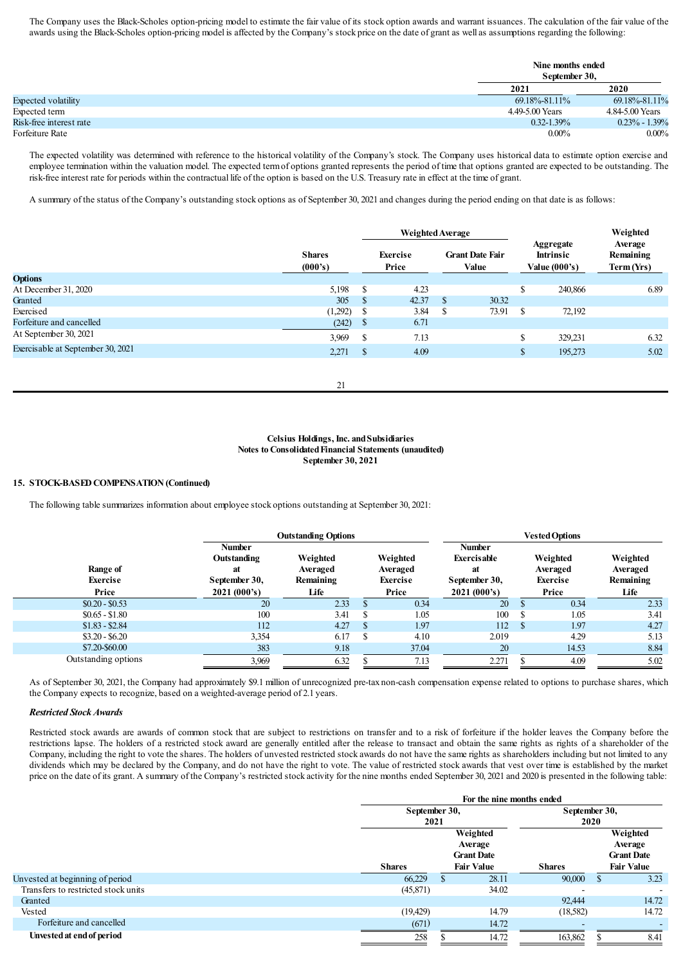The Company uses the Black-Scholes option-pricing model to estimate the fair value of its stock option awards and warrant issuances. The calculation of the fair value of the awards using the Black-Scholes option-pricing model is affected by the Company's stock price on the date of grant as wellas assumptions regarding the following:

|                         | Nine months ended<br>September 30, |                   |
|-------------------------|------------------------------------|-------------------|
|                         | 2021                               | 2020              |
| Expected volatility     | 69.18%-81.11%                      | 69.18%-81.11%     |
| Expected term           | 4.49-5.00 Years                    | 4.84-5.00 Years   |
| Risk-free interest rate | $0.32 - 1.39\%$                    | $0.23\% - 1.39\%$ |
| Forfeiture Rate         | $0.00\%$                           | $0.00\%$          |

The expected volatility was determined with reference to the historical volatility of the Company's stock. The Company uses historical data to estimate option exercise and employee termination within the valuation model. The expected termof options granted represents the period of time that options granted are expected to be outstanding. The risk-free interest rate for periods within the contractual life of the option is based on the U.S. Treasury rate in effect at the time of grant.

A summary of the status of the Company's outstanding stock options as of September 30, 2021 and changes during the period ending on that date is as follows:

|                                   |                          | <b>Weighted Average</b>  |       |                                 |       |                                                  |         | Weighted                           |  |
|-----------------------------------|--------------------------|--------------------------|-------|---------------------------------|-------|--------------------------------------------------|---------|------------------------------------|--|
|                                   | <b>Shares</b><br>(000's) | <b>Exercise</b><br>Price |       | <b>Grant Date Fair</b><br>Value |       | Aggregate<br><b>Intrinsic</b><br>Value $(000's)$ |         | Average<br>Remaining<br>Term (Yrs) |  |
| <b>Options</b>                    |                          |                          |       |                                 |       |                                                  |         |                                    |  |
| At December 31, 2020              | 5,198                    | S                        | 4.23  |                                 |       | .Ъ                                               | 240,866 | 6.89                               |  |
| Granted                           | 305                      | <b>S</b>                 | 42.37 | <b>S</b>                        | 30.32 |                                                  |         |                                    |  |
| Exercised                         | (1,292)                  | S                        | 3.84  | <sup>\$</sup>                   | 73.91 | -S                                               | 72,192  |                                    |  |
| Forfeiture and cancelled          | (242)                    | S.                       | 6.71  |                                 |       |                                                  |         |                                    |  |
| At September 30, 2021             | 3,969                    | S                        | 7.13  |                                 |       | .D                                               | 329,231 | 6.32                               |  |
| Exercisable at September 30, 2021 | 2,271                    | <sup>\$</sup>            | 4.09  |                                 |       | \$                                               | 195,273 | 5.02                               |  |
|                                   |                          |                          |       |                                 |       |                                                  |         |                                    |  |

21

#### **Celsius Holdings, Inc. andSubsidiaries Notes toConsolidatedFinancial Statements (unaudited) September 30, 2021**

# 15. **STOCK-BASED COMPENSATION** (Continued)

The following table summarizes information about employee stock options outstanding at September 30, 2021:

|                               |                                                                    | <b>Outstanding Options</b>                |                                                  | <b>Vested Options</b>                                              |  |                                           |                                           |
|-------------------------------|--------------------------------------------------------------------|-------------------------------------------|--------------------------------------------------|--------------------------------------------------------------------|--|-------------------------------------------|-------------------------------------------|
| Range of<br>Exercise<br>Price | <b>Number</b><br>Outstanding<br>at<br>September 30,<br>2021(000's) | Weighted<br>Averaged<br>Remaining<br>Life | Weighted<br>Averaged<br><b>Exercise</b><br>Price | <b>Number</b><br>Exercisable<br>at<br>September 30,<br>2021(000's) |  | Weighted<br>Averaged<br>Exercise<br>Price | Weighted<br>Averaged<br>Remaining<br>Life |
| $$0.20 - $0.53$$              | 20                                                                 | 2.33                                      | 0.34                                             | 20                                                                 |  | 0.34                                      | 2.33                                      |
| $$0.65 - $1.80$               | 100                                                                | 3.41                                      | 1.05                                             | 100                                                                |  | 1.05                                      | 3.41                                      |
| $$1.83 - $2.84$               | 112                                                                | 4.27                                      | 1.97                                             | 112                                                                |  | 1.97                                      | 4.27                                      |
| $$3.20 - $6.20$               | 3,354                                                              | 6.17                                      | 4.10                                             | 2.019                                                              |  | 4.29                                      | 5.13                                      |
| \$7.20-\$60.00                | 383                                                                | 9.18                                      | 37.04                                            | 20                                                                 |  | 14.53                                     | 8.84                                      |
| Outstanding options           | 3,969                                                              | 6.32                                      | 7.13                                             | 2.271                                                              |  | 4.09                                      | 5.02                                      |

As of September 30, 2021, the Company had approximately \$9.1 million of unrecognized pre-tax non-cash compensation expense related to options to purchase shares, which the Company expects to recognize, based on a weighted-average period of 2.1 years.

# *Restricted Stock Awards*

Restricted stock awards are awards of common stock that are subject to restrictions on transfer and to a risk of forfeiture if the holder leaves the Company before the restrictions lapse. The holders of a restricted stock award are generally entitled after the release to transact and obtain the same rights as rights of a shareholder of the Company, including the right to vote the shares. The holders of unvested restricted stock awards do not have the same rights as shareholders including but not limited to any dividends which may be declared by the Company, and do not have the right to vote. The value of restricted stock awards that vest over time is established by the market price on the date of its grant. A summary of the Company's restricted stock activity for the nine months ended September 30, 2021 and 2020 is presented in the following table:

|                                     | For the nine months ended                |   |                   |                       |    |                                          |  |  |
|-------------------------------------|------------------------------------------|---|-------------------|-----------------------|----|------------------------------------------|--|--|
|                                     | September 30,<br>2021                    |   |                   | September 30,<br>2020 |    |                                          |  |  |
|                                     | Weighted<br>Average<br><b>Grant Date</b> |   |                   |                       |    | Weighted<br>Average<br><b>Grant Date</b> |  |  |
|                                     | <b>Shares</b>                            |   | <b>Fair Value</b> | <b>Shares</b>         |    | <b>Fair Value</b>                        |  |  |
| Unvested at beginning of period     | 66,229                                   | ж | 28.11             | 90,000                | D. | 3.23                                     |  |  |
| Transfers to restricted stock units | (45, 871)                                |   | 34.02             |                       |    | $\overline{\phantom{a}}$                 |  |  |
| Granted                             |                                          |   |                   | 92,444                |    | 14.72                                    |  |  |
| Vested                              | (19, 429)                                |   | 14.79             | (18, 582)             |    | 14.72                                    |  |  |
| Forfeiture and cancelled            | (671)                                    |   | 14.72             |                       |    |                                          |  |  |
| Unvested at end of period           | 258                                      |   | 14.72             | 163,862               |    | 8.41                                     |  |  |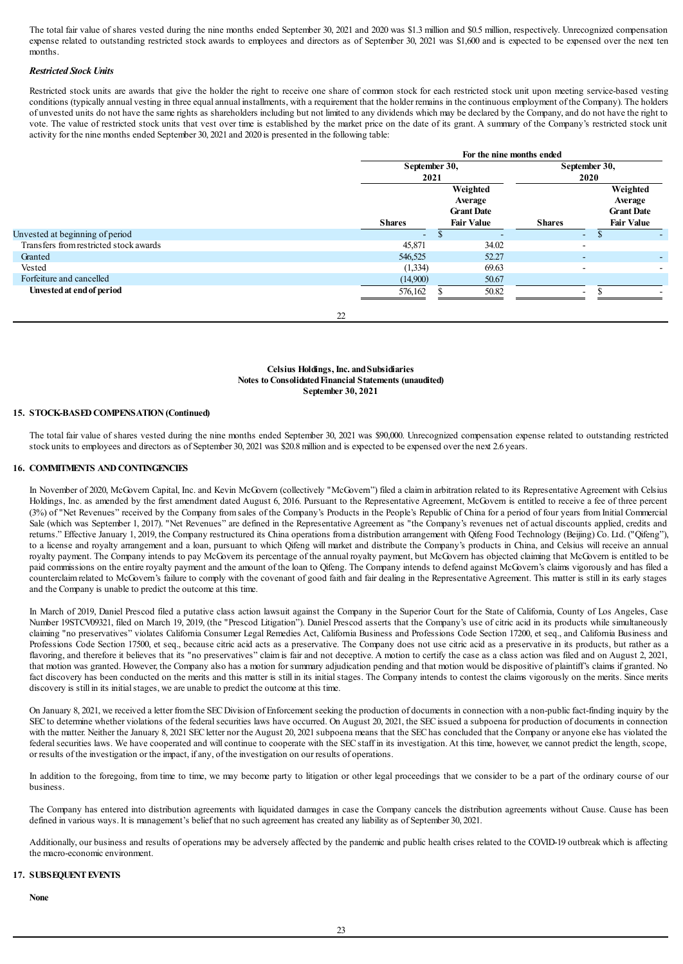The total fair value of shares vested during the nine months ended September 30, 2021 and 2020 was \$1.3 million and \$0.5 million, respectively. Unrecognized compensation expense related to outstanding restricted stock awards to employees and directors as of September 30, 2021 was \$1,600 and is expected to be expensed over the next ten months.

# *Restricted Stock Units*

Restricted stock units are awards that give the holder the right to receive one share of common stock for each restricted stock unit upon meeting service-based vesting conditions (typically annual vesting in three equal annual installments, with a requirement that the holder remains in the continuous employment of the Company). The holders of unvested units do not have the same rights as shareholders including but not limited to any dividends which may be declared by the Company,and do not have the right to vote. The value of restricted stock units that vest over time is established by the market price on the date of its grant. A summary of the Company's restricted stock unit activity for the nine months ended September 30, 2021 and 2020 is presented in the following table:

|                                        |               | For the nine months ended                |               |                                          |  |
|----------------------------------------|---------------|------------------------------------------|---------------|------------------------------------------|--|
|                                        |               | September 30,<br>2021                    |               | September 30,<br>2020                    |  |
|                                        |               | Weighted<br>Average<br><b>Grant Date</b> |               | Weighted<br>Average<br><b>Grant Date</b> |  |
|                                        | <b>Shares</b> | <b>Fair Value</b>                        | <b>Shares</b> | <b>Fair Value</b>                        |  |
| Unvested at beginning of period        | ٠             | \$                                       | $\sim$        | S                                        |  |
| Transfers from restricted stock awards | 45,871        | 34.02                                    | ۰             |                                          |  |
| Granted                                | 546,525       | 52.27                                    | ٠             |                                          |  |
| Vested                                 | (1, 334)      | 69.63                                    | ۰             |                                          |  |
| Forfeiture and cancelled               | (14,900)      | 50.67                                    |               |                                          |  |
| Unvested at end of period              | 576,162       | 50.82                                    | ۰.            |                                          |  |
|                                        | 22            |                                          |               |                                          |  |

#### **Celsius Holdings, Inc. andSubsidiaries Notes toConsolidatedFinancial Statements (unaudited) September 30, 2021**

#### 15. STOCK-BASED COMPENSATION (Continued)

The total fair value of shares vested during the nine months ended September 30, 2021 was \$90,000. Unrecognized compensation expense related to outstanding restricted stock units to employees and directors as of September 30, 2021 was \$20.8 million and is expected to be expensed over the next 2.6 years.

#### **16. COMMITMENTS AND CONTINGENCIES**

In November of 2020, McGovern Capital, Inc. and Kevin McGovern (collectively "McGovern") filed a claimin arbitration related to its Representative Agreement with Celsius Holdings, Inc. as amended by the first amendment dated August 6, 2016. Pursuant to the Representative Agreement, McGovern is entitled to receive a fee of three percent (3%) of "Net Revenues" received by the Company fromsales of the Company's Products in the People's Republic of China for a period of four years fromInitial Commercial Sale (which was September 1, 2017). "Net Revenues" are defined in the Representative Agreement as "the Company's revenues net of actual discounts applied, credits and returns." Effective January 1, 2019, the Company restructured its China operations froma distribution arrangement with Qifeng Food Technology (Beijing) Co. Ltd. ("Qifeng"), to a license and royalty arrangement and a loan, pursuant to which Qifeng will market and distribute the Company's products in China, and Celsius will receive an annual royalty payment. The Company intends to pay McGovern its percentage of the annual royalty payment, but McGovern has objected claiming that McGovern is entitled to be paid commissions on the entire royalty payment and the amount of the loan to Qifeng. The Company intends to defend against McGovern's claims vigorously and has filed a counterclaimrelated to McGovern's failure to comply with the covenant of good faith and fair dealing in the Representative Agreement. This matter is still in its early stages and the Company is unable to predict the outcome at this time.

In March of 2019, Daniel Prescod filed a putative class action lawsuit against the Company in the Superior Court for the State of California, County of Los Angeles, Case Number 19STCV09321, filed on March 19, 2019, (the "Prescod Litigation"). Daniel Prescod asserts that the Company's use of citric acid in its products while simultaneously claiming "no preservatives" violates California Consumer Legal Remedies Act, California Business and Professions Code Section 17200, et seq., and California Business and Professions Code Section 17500, et seq., because citric acid acts as a preservative. The Company does not use citric acid as a preservative in its products, but rather as a flavoring, and therefore it believes that its "no preservatives" claim is fair and not deceptive. A motion to certify the case as a class action was filed and on August 2, 2021, that motion was granted. However, the Company also has a motion for summary adjudication pending and that motion would be dispositive of plaintiff's claims if granted. No fact discovery has been conducted on the merits and this matter is still in its initial stages. The Company intends to contest the claims vigorously on the merits. Since merits discovery is still in its initial stages, we are unable to predict the outcome at this time.

On January 8, 2021, we received a letter fromthe SECDivision of Enforcement seeking the production of documents in connection with a non-public fact-finding inquiry by the SEC to determine whether violations of the federal securities laws have occurred. On August 20, 2021, the SEC issued a subpoena for production of documents in connection with the matter. Neither the January 8, 2021 SEC letter nor the August 20, 2021 subpoena means that the SEC has concluded that the Company or anyone else has violated the federal securities laws. We have cooperated and will continue to cooperate with the SEC staff in its investigation. At this time, however, we cannot predict the length, scope, or results of the investigation or the impact, ifany, of the investigation on our results of operations.

In addition to the foregoing, from time to time, we may become party to litigation or other legal proceedings that we consider to be a part of the ordinary course of our business.

The Company has entered into distribution agreements with liquidated damages in case the Company cancels the distribution agreements without Cause. Cause has been defined in various ways. It is management's belief that no such agreement has created any liability as of September 30, 2021.

Additionally, our business and results of operations may be adversely affected by the pandemic and public health crises related to the COVID-19 outbreak which is affecting the macro-economic environment.

# **17. SUBSEQUENTEVENTS**

**None**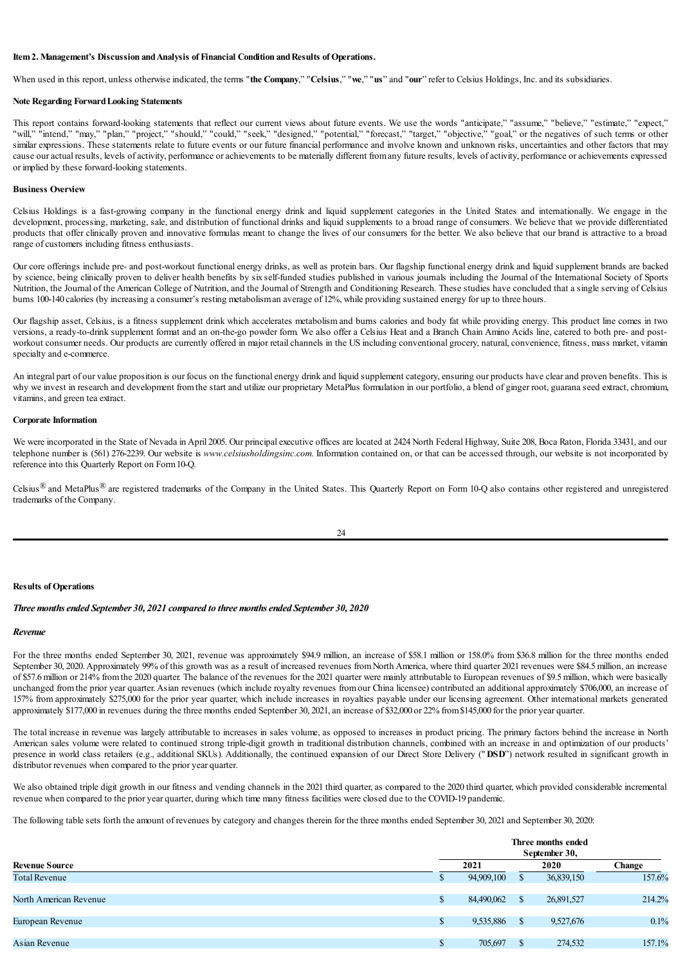# **Item2. Management's Discussion andAnalysis of Financial Condition andResults ofOperations.**

When used in this report, unless otherwise indicated, the terms "**the Company**," "**Celsius**," "**we**," "**us**" and "**our**" refer to Celsius Holdings, Inc.and its subsidiaries.

#### **Note Regarding ForwardLooking Statements**

This report contains forward-looking statements that reflect our current views about future events. We use the words "anticipate," "assume," "believe," "estimate," "expect," "will," "intend," "may," "plan," "project," "should," "could," "seek," "designed," "potential," "forecast," "target," "objective," "goal," or the negatives of such terms or other similar expressions. These statements relate to future events or our future financial performance and involve known and unknown risks, uncertainties and other factors that may cause ouractual results, levels ofactivity, performance orachievements to be materially different fromany future results, levels ofactivity, performance orachievements expressed or implied by these forward-looking statements.

#### **Business Overview**

Celsius Holdings is a fast-growing company in the functional energy drink and liquid supplement categories in the United States and internationally. We engage in the development, processing, marketing, sale, and distribution of functional drinks and liquid supplements to a broad range of consumers. We believe that we provide differentiated products that offer clinically proven and innovative formulas meant to change the lives of our consumers for the better. We also believe that our brand is attractive to a broad range of customers including fitness enthusiasts.

Our core offerings include pre- and post-workout functionalenergy drinks, as wellas protein bars. Our flagship functionalenergy drink and liquid supplement brands are backed by science, being clinically proven to deliver health benefits by six self-funded studies published in various journals including the Journal of the International Society of Sports Nutrition, the Journal of the American College of Nutrition, and the Journal of Strength and Conditioning Research. These studies have concluded that a single serving of Celsius burns 100-140 calories (by increasing a consumer's resting metabolisman average of 12%, while providing sustained energy for up to three hours.

Our flagship asset, Celsius, is a fitness supplement drink which accelerates metabolismand burns calories and body fat while providing energy. This product line comes in two versions, a ready-to-drink supplement format and an on-the-go powder form. We also offer a Celsius Heat and a Branch Chain Amino Acids line, catered to both pre- and postworkout consumer needs. Our products are currently offered in major retail channels in the US including conventional grocery, natural, convenience, fitness, mass market, vitamin specialty and e-commerce.

An integral part of our value proposition is our focus on the functional energy drink and liquid supplement category, ensuring our products have clear and proven benefits. This is why we invest in research and development from the start and utilize our proprietary MetaPlus formulation in our portfolio, a blend of ginger root, guarana seed extract, chromium, vitamins,and green tea extract.

#### **Corporate Information**

We were incorporated in the State of Nevada in April 2005. Our principal executive offices are located at 2424 North Federal Highway, Suite 208, Boca Raton, Florida 33431, and our telephone number is (561) 276-2239. Our website is *www.celsiusholdingsinc.com*. Information contained on, or that can be accessed through, our website is not incorporated by reference into this Quarterly Report on Form10-Q.

Celsius<sup>®</sup> and MetaPlus<sup>®</sup> are registered trademarks of the Company in the United States. This Quarterly Report on Form 10-Q also contains other registered and unregistered trademarks of the Company.

| I |  |
|---|--|
|   |  |

# **Results** of Operations

#### *Threemonthsended September 30, 2021 compared to threemonthsended September 30, 2020*

#### *Revenue*

For the three months ended September 30, 2021, revenue was approximately \$94.9 million, an increase of \$58.1 million or 158.0% from \$36.8 million for the three months ended September 30, 2020. Approximately 99% of this growth was as a result of increased revenues from North America, where third quarter 2021 revenues were \$84.5 million, an increase of \$57.6million or 214% fromthe 2020 quarter. The balance of the revenues for the 2021 quarter were mainly attributable to European revenues of \$9.5million, which were basically unchanged from the prior year quarter. Asian revenues (which include royalty revenues from our China licensee) contributed an additional approximately \$706,000, an increase of 157% from approximately \$275,000 for the prior year quarter, which include increases in royalties payable under our licensing agreement. Other international markets generated approximately \$177,000 in revenues during the three months ended September 30, 2021,an increase of \$32,000 or 22% from\$145,000 for the prior year quarter.

The total increase in revenue was largely attributable to increases in sales volume, as opposed to increases in product pricing. The primary factors behind the increase in North American sales volume were related to continued strong triple-digit growth in traditional distribution channels, combined with an increase in and optimization of our products' presence in world class retailers (e.g., additional SKUs). Additionally, the continued expansion of our Direct Store Delivery (" **DSD**") network resulted in significant growth in distributor revenues when compared to the prior year quarter.

We also obtained triple digit growth in our fitness and vending channels in the 2021 third quarter, as compared to the 2020 third quarter, which provided considerable incremental revenue when compared to the prior year quarter, during which time many fitness facilities were closed due to the COVID-19 pandemic.

The following table sets forth the amount of revenues by category and changes therein for the three months ended September 30, 2021 and September 30, 2020:

| Change |
|--------|
| 157.6% |
|        |
| 214.2% |
|        |
| 0.1%   |
|        |
| 157.1% |
|        |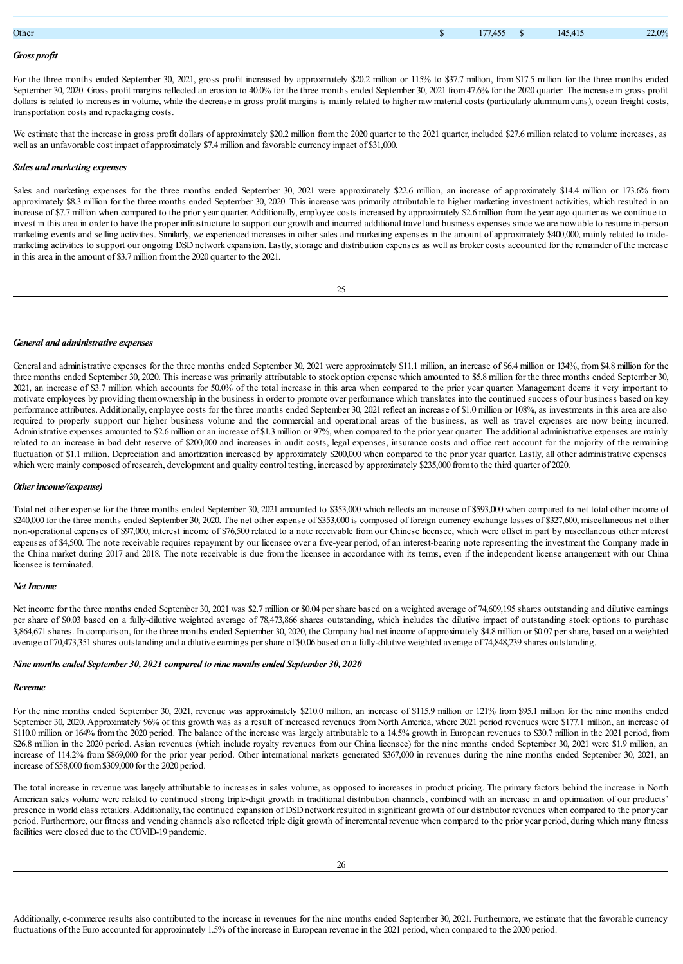# Other  $\frac{177,455}{22.0\%}$  177,455 \$ 145,415 22.0%

#### *Gross profit*

For the three months ended September 30, 2021, gross profit increased by approximately \$20.2 million or 115% to \$37.7 million, from \$17.5 million for the three months ended September 30, 2020. Gross profit margins reflected an erosion to 40.0% for the three months ended September 30, 2021 from 47.6% for the 2020 quarter. The increase in gross profit dollars is related to increases in volume, while the decrease in gross profit margins is mainly related to higher raw material costs (particularly aluminum cans), ocean freight costs, transportation costs and repackaging costs.

We estimate that the increase in gross profit dollars of approximately \$20.2 million from the 2020 quarter to the 2021 quarter, included \$27.6 million related to volume increases, as well as an unfavorable cost impact of approximately \$7.4 million and favorable currency impact of \$31,000.

#### *Sales and marketing expenses*

Sales and marketing expenses for the three months ended September 30, 2021 were approximately \$22.6 million, an increase of approximately \$14.4 million or 173.6% from approximately \$8.3 million for the three months ended September 30, 2020. This increase was primarily attributable to higher marketing investment activities, which resulted in an increase of \$7.7 million when compared to the prior year quarter. Additionally, employee costs increased by approximately \$2.6 million from the year ago quarter as we continue to invest in this area in order to have the proper infrastructure to support our growth and incurred additional traveland business expenses since we are now able to resume in-person marketing events and selling activities. Similarly, we experienced increases in other sales and marketing expenses in the amount of approximately \$400,000, mainly related to trademarketing activities to support our ongoing DSD network expansion. Lastly, storage and distribution expenses as wellas brokercosts accounted for the remainder of the increase in this area in the amount of \$3.7million fromthe 2020 quarter to the 2021.

 $25$ 

#### *General and administrative expenses*

General and administrative expenses for the three months ended September 30, 2021 were approximately \$11.1 million, an increase of \$6.4 million or 134%, from \$4.8 million for the three months ended September 30, 2020. This increase was primarily attributable to stock option expense which amounted to \$5.8million for the three months ended September 30, 2021, an increase of \$3.7 million which accounts for 50.0% of the total increase in this area when compared to the prior year quarter. Management deems it very important to motivate employees by providing themownership in the business in order to promote over performance which translates into the continued success of our business based on key performance attributes. Additionally, employee costs for the three months ended September 30, 2021 reflect an increase of \$1.0 million or 108%, as investments in this area are also required to properly support our higher business volume and the commercial and operational areas of the business, as well as travel expenses are now being incurred. Administrative expenses amounted to \$2.6 million or an increase of \$1.3 million or 97%, when compared to the prior year quarter. The additional administrative expenses are mainly related to an increase in bad debt reserve of \$200,000 and increases in audit costs, legal expenses, insurance costs and office rent account for the majority of the remaining fluctuation of \$1.1 million. Depreciation and amortization increased by approximately \$200,000 when compared to the prior year quarter. Lastly, all other administrative expenses which were mainly composed of research, development and quality control testing, increased by approximately \$235,000 from to the third quarter of 2020.

#### *Otherincome/(expense)*

Total net other expense for the three months ended September 30, 2021 amounted to \$353,000 which reflects an increase of \$593,000 when compared to net total other income of \$240,000 for the three months ended September 30, 2020. The net other expense of \$353,000 is composed of foreign currency exchange losses of \$327,600, miscellaneous net other non-operational expenses of \$97,000, interest income of \$76,500 related to a note receivable fromour Chinese licensee, which were offset in part by miscellaneous other interest expenses of \$4,500. The note receivable requires repayment by our licensee over a five-year period, of an interest-bearing note representing the investment the Company made in the China market during 2017 and 2018. The note receivable is due from the licensee in accordance with its terms, even if the independent license arrangement with our China licensee is terminated.

#### *Net Income*

Net income for the three months ended September 30, 2021 was \$2.7 million or \$0.04 per share based on a weighted average of 74,609,195 shares outstanding and dilutive earnings per share of \$0.03 based on a fully-dilutive weighted average of 78,473,866 shares outstanding, which includes the dilutive impact of outstanding stock options to purchase 3,864,671 shares. In comparison, for the three months ended September 30, 2020, the Company had net income of approximately \$4.8 million or \$0.07 per share, based on a weighted average of 70,473,351 shares outstanding and a dilutive earnings pershare of \$0.06 based on a fully-dilutive weighted average of 74,848,239 shares outstanding.

#### *Ninemonthsended September 30, 2021 compared to ninemonthsended September 30, 2020*

# *Revenue*

For the nine months ended September 30, 2021, revenue was approximately \$210.0 million, an increase of \$115.9 million or 121% from \$95.1 million for the nine months ended September 30, 2020. Approximately 96% of this growth was as a result of increased revenues from North America, where 2021 period revenues were \$177.1 million, an increase of \$110.0 million or 164% from the 2020 period. The balance of the increase was largely attributable to a 14.5% growth in European revenues to \$30.7 million in the 2021 period, from \$26.8 million in the 2020 period. Asian revenues (which include royalty revenues from our China licensee) for the nine months ended September 30, 2021 were \$1.9 million, an increase of 114.2% from \$869,000 for the prior year period. Other international markets generated \$367,000 in revenues during the nine months ended September 30, 2021, an increase of \$58,000 from\$309,000 for the 2020 period.

The total increase in revenue was largely attributable to increases in sales volume, as opposed to increases in product pricing. The primary factors behind the increase in North American sales volume were related to continued strong triple-digit growth in traditional distribution channels, combined with an increase in and optimization of our products' presence in world class retailers.Additionally, the continued expansion of DSDnetwork resulted in significant growth of our distributor revenues when compared to the prior year period. Furthermore, our fitness and vending channels also reflected triple digit growth of incremental revenue when compared to the prior year period, during which many fitness facilities were closed due to the COVID-19 pandemic.

Additionally, e-commerce results also contributed to the increase in revenues for the nine months ended September 30, 2021. Furthermore, we estimate that the favorable currency fluctuations of the Euro accounted forapproximately 1.5% of the increase in European revenue in the 2021 period, when compared to the 2020 period.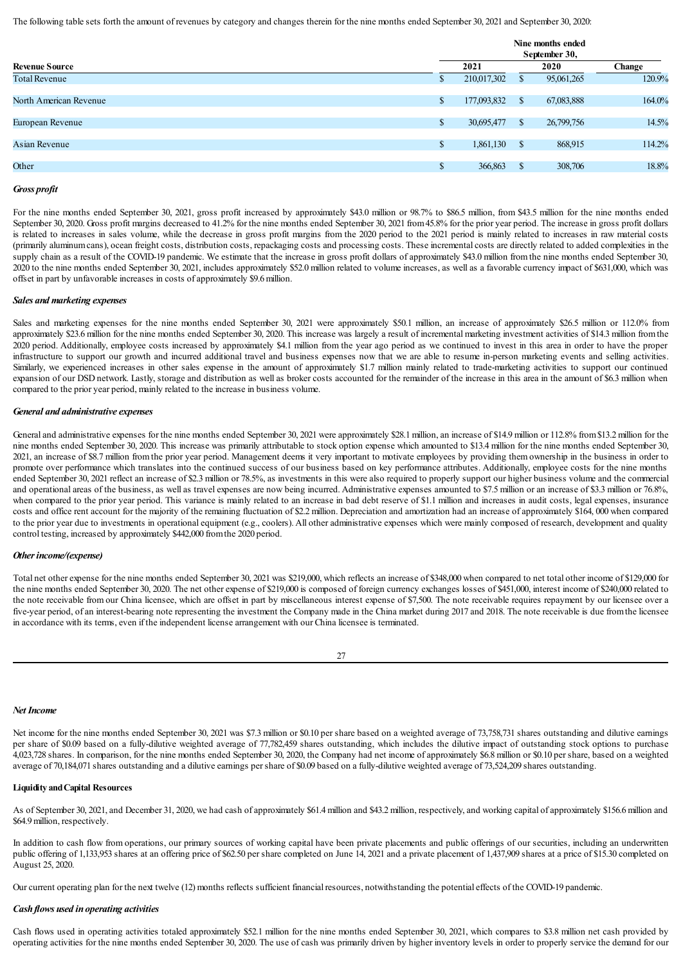The following table sets forth the amount of revenues by category and changes therein for the nine months ended September 30, 2021 and September 30, 2020:

| Nine months ended<br>September 30, |             |               |            |        |
|------------------------------------|-------------|---------------|------------|--------|
|                                    | 2021        |               | 2020       | Change |
| Φ                                  | 210,017,302 |               | 95,061,265 | 120.9% |
|                                    |             |               |            |        |
| \$                                 | 177,093,832 | <sup>\$</sup> | 67,083,888 | 164.0% |
|                                    |             |               |            |        |
| \$                                 | 30,695,477  | S             | 26,799,756 | 14.5%  |
|                                    |             |               |            |        |
| \$                                 | 1,861,130   | <sup>\$</sup> | 868,915    | 114.2% |
|                                    |             |               |            |        |
| \$                                 | 366,863     | S             | 308,706    | 18.8%  |
|                                    |             |               |            |        |

# *Gross profit*

For the nine months ended September 30, 2021, gross profit increased by approximately \$43.0 million or 98.7% to \$86.5 million, from \$43.5 million for the nine months ended September 30, 2020. Gross profit margins decreased to 41.2% for the nine months ended September 30, 2021 from45.8% for the prior year period. The increase in gross profit dollars is related to increases in sales volume, while the decrease in gross profit margins from the 2020 period to the 2021 period is mainly related to increases in raw material costs (primarily aluminum cans), ocean freight costs, distribution costs, repackaging costs and processing costs. These incremental costs are directly related to added complexities in the supply chain as a result of the COVID-19 pandemic. We estimate that the increase in gross profit dollars of approximately \$43.0 million from the nine months ended September 30, 2020 to the nine months ended September 30, 2021, includes approximately \$52.0 million related to volume increases, as wellas a favorable currency impact of \$631,000, which was offset in part by unfavorable increases in costs ofapproximately \$9.6million.

#### *Sales and marketing expenses*

Sales and marketing expenses for the nine months ended September 30, 2021 were approximately \$50.1 million, an increase of approximately \$26.5 million or 112.0% from approximately \$23.6 million for the nine months ended September 30, 2020. This increase was largely a result of incremental marketing investment activities of \$14.3 million from the 2020 period. Additionally, employee costs increased by approximately \$4.1 million from the year ago period as we continued to invest in this area in order to have the proper infrastructure to support our growth and incurred additional travel and business expenses now that we are able to resume in-person marketing events and selling activities. Similarly, we experienced increases in other sales expense in the amount of approximately \$1.7 million mainly related to trade-marketing activities to support our continued expansion of our DSD network. Lastly, storage and distribution as well as broker costs accounted for the remainder of the increase in this area in the amount of \$6.3 million when compared to the prior year period, mainly related to the increase in business volume.

#### *General and administrative expenses*

General and administrative expenses for the nine months ended September 30, 2021 were approximately \$28.1 million, an increase of \$14.9 million or 112.8% from \$13.2 million for the nine months ended September 30, 2020. This increase was primarily attributable to stock option expense which amounted to \$13.4 million for the nine months ended September 30, 2021, an increase of \$8.7 million fromthe prior year period. Management deems it very important to motivate employees by providing themownership in the business in order to promote over performance which translates into the continued success of our business based on key performance attributes. Additionally, employee costs for the nine months ended September 30, 2021 reflect an increase of \$2.3 million or 78.5%, as investments in this were also required to properly support our higher business volume and the commercial and operational areas of the business, as well as travel expenses are now being incurred. Administrative expenses amounted to \$7.5 million or an increase of \$3.3 million or 76.8%, when compared to the prior year period. This variance is mainly related to an increase in bad debt reserve of \$1.1 million and increases in audit costs, legal expenses, insurance costs and office rent account for the majority of the remaining fluctuation of \$2.2million. Depreciation and amortization had an increase ofapproximately \$164, 000 when compared to the prior year due to investments in operational equipment (e.g., coolers). All other administrative expenses which were mainly composed of research, development and quality control testing, increased by approximately \$442,000 fromthe 2020 period.

# *Otherincome/(expense)*

Total net other expense for the nine months ended September 30, 2021 was \$219,000, which reflects an increase of \$348,000 when compared to net total other income of \$129,000 for the nine months ended September 30, 2020. The net other expense of \$219,000 is composed of foreign currency exchanges losses of \$451,000, interest income of \$240,000 related to the note receivable from our China licensee, which are offset in part by miscellaneous interest expense of \$7,500. The note receivable requires repayment by our licensee over a five-year period, of an interest-bearing note representing the investment the Company made in the China market during 2017 and 2018. The note receivable is due from the licensee in accordance with its terms, even if the independent license arrangement with our China licensee is terminated.

| I |  |
|---|--|

#### *Net Income*

Net income for the nine months ended September 30, 2021 was \$7.3 million or \$0.10 per share based on a weighted average of 73,758,731 shares outstanding and dilutive earnings per share of \$0.09 based on a fully-dilutive weighted average of 77,782,459 shares outstanding, which includes the dilutive impact of outstanding stock options to purchase 4,023,728 shares. In comparison, for the nine months ended September 30, 2020, the Company had net income ofapproximately \$6.8million or \$0.10 per share, based on a weighted average of 70,184,071 shares outstanding and a dilutive earnings pershare of \$0.09 based on a fully-dilutive weighted average of 73,524,209 shares outstanding.

#### **Liquidity andCapital Resources**

As of September 30, 2021, and December 31, 2020, we had cash of approximately \$61.4 million and \$43.2 million, respectively, and working capital of approximately \$156.6 million and \$64.9 million, respectively.

In addition to cash flow from operations, our primary sources of working capital have been private placements and public offerings of our securities, including an underwritten public offering of 1,133,953 shares at an offering price of \$62.50 per share completed on June 14, 2021 and a private placement of 1,437,909 shares at a price of \$15.30 completed on August 25, 2020.

Our current operating plan for the next twelve (12) months reflects sufficient financial resources, notwithstanding the potential effects of the COVID-19 pandemic.

# *Cash flows used in operating activities*

Cash flows used in operating activities totaled approximately \$52.1 million for the nine months ended September 30, 2021, which compares to \$3.8 million net cash provided by operating activities for the nine months ended September 30, 2020. The use ofcash was primarily driven by higher inventory levels in order to properly service the demand for our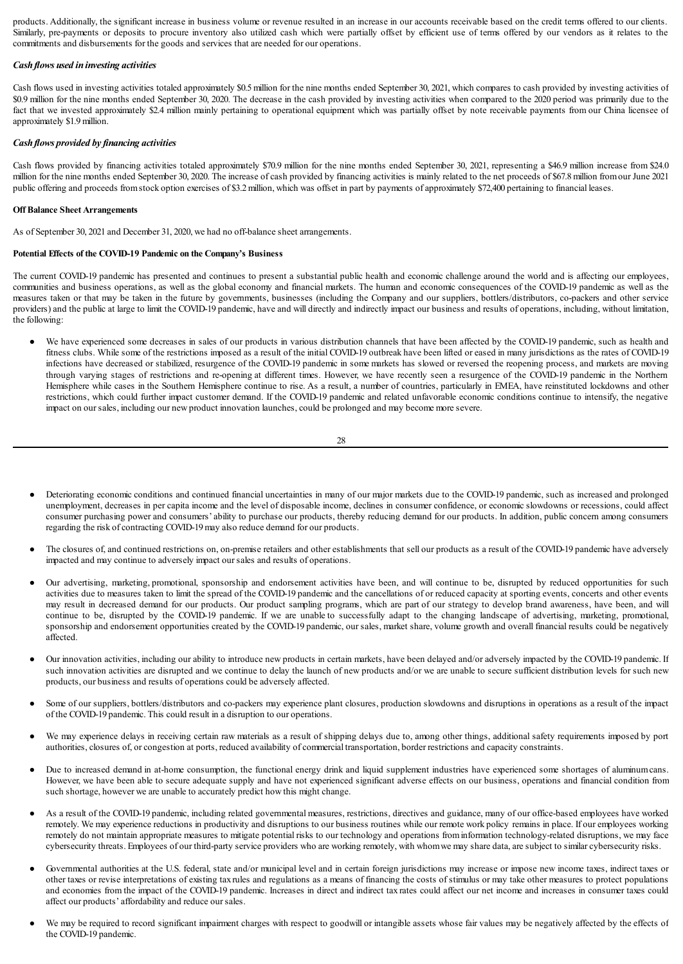products. Additionally, the significant increase in business volume or revenue resulted in an increase in our accounts receivable based on the credit terms offered to our clients. Similarly, pre-payments or deposits to procure inventory also utilized cash which were partially offset by efficient use of terms offered by our vendors as it relates to the commitments and disbursements for the goods and services that are needed for our operations.

# *Cash flows used in investing activities*

Cash flows used in investing activities totaled approximately \$0.5million for the nine months ended September 30, 2021, which compares to cash provided by investing activities of \$0.9 million for the nine months ended September 30, 2020. The decrease in the cash provided by investing activities when compared to the 2020 period was primarily due to the fact that we invested approximately \$2.4 million mainly pertaining to operational equipment which was partially offset by note receivable payments from our China licensee of approximately \$1.9million.

# *Cash flows provided byfinancing activities*

Cash flows provided by financing activities totaled approximately \$70.9 million for the nine months ended September 30, 2021, representing a \$46.9 million increase from \$24.0 million for the nine months ended September 30, 2020. The increase ofcash provided by financing activities is mainly related to the net proceeds of \$67.8million fromour June 2021 public offering and proceeds fromstock option exercises of \$3.2million, which was offset in part by payments ofapproximately \$72,400 pertaining to financial leases.

#### **Off Balance Sheet Arrangements**

As of September 30, 2021 and December 31, 2020, we had no off-balance sheet arrangements.

#### **Potential Effects of the COVID-19 Pandemic on the Company's Business**

The current COVID-19 pandemic has presented and continues to present a substantial public health and economic challenge around the world and is affecting our employees, communities and business operations, as well as the global economy and financial markets. The human and economic consequences of the COVID-19 pandemic as well as the measures taken or that may be taken in the future by governments, businesses (including the Company and our suppliers, bottlers/distributors, co-packers and other service providers)and the public at large to limit the COVID-19 pandemic, have and will directly and indirectly impact our business and results of operations, including, without limitation, the following:

We have experienced some decreases in sales of our products in various distribution channels that have been affected by the COVID-19 pandemic, such as health and fitness clubs. While some of the restrictions imposed as a result of the initial COVID-19 outbreak have been lifted oreased in many jurisdictions as the rates of COVID-19 infections have decreased or stabilized, resurgence of the COVID-19 pandemic in some markets has slowed or reversed the reopening process, and markets are moving through varying stages of restrictions and re-opening at different times. However, we have recently seen a resurgence of the COVID-19 pandemic in the Northern Hemisphere while cases in the Southern Hemisphere continue to rise. As a result, a number of countries, particularly in EMEA, have reinstituted lockdowns and other restrictions, which could further impact customer demand. If the COVID-19 pandemic and related unfavorable economic conditions continue to intensify, the negative impact on our sales, including our new product innovation launches, could be prolonged and may become more severe.

$$
28\\
$$

- Deteriorating economic conditions and continued financial uncertainties in many of our major markets due to the COVID-19 pandemic, such as increased and prolonged unemployment, decreases in per capita income and the level of disposable income, declines in consumer confidence, or economic slowdowns or recessions, could affect consumer purchasing power and consumers'ability to purchase our products, thereby reducing demand for our products. In addition, public concern among consumers regarding the risk of contracting COVID-19 may also reduce demand for our products.
- The closures of, and continued restrictions on, on-premise retailers and other establishments that sell our products as a result of the COVID-19 pandemic have adversely impacted and may continue to adversely impact oursales and results of operations.
- Our advertising, marketing, promotional, sponsorship and endorsement activities have been, and will continue to be, disrupted by reduced opportunities for such activities due to measures taken to limit the spread of the COVID-19 pandemic and the cancellations of or reduced capacity at sporting events, concerts and other events may result in decreased demand for our products. Our product sampling programs, which are part of our strategy to develop brand awareness, have been, and will continue to be, disrupted by the COVID-19 pandemic. If we are unable to successfully adapt to the changing landscape of advertising, marketing, promotional, sponsorship and endorsement opportunities created by the COVID-19 pandemic, our sales, market share, volume growth and overall financial results could be negatively affected.
- Our innovation activities, including ourability to introduce new products in certain markets, have been delayed and/oradversely impacted by the COVID-19 pandemic. If such innovation activities are disrupted and we continue to delay the launch of new products and/or we are unable to secure sufficient distribution levels for such new products, our business and results of operations could be adversely affected.
- Some of our suppliers, bottlers/distributors and co-packers may experience plant closures, production slowdowns and disruptions in operations as a result of the impact of the COVID-19 pandemic. This could result in a disruption to our operations.
- We may experience delays in receiving certain raw materials as a result of shipping delays due to, among other things, additional safety requirements imposed by port authorities, closures of, or congestion at ports, reduced availability of commercial transportation, border restrictions and capacity constraints.
- Due to increased demand in at-home consumption, the functional energy drink and liquid supplement industries have experienced some shortages of aluminum cans. However, we have been able to secure adequate supply and have not experienced significant adverse effects on our business, operations and financial condition from such shortage, however we are unable to accurately predict howthis might change.
- As a result of the COVID-19 pandemic, including related governmental measures, restrictions, directives and guidance, many of our office-based employees have worked remotely. We may experience reductions in productivity and disruptions to our business routines while our remote work policy remains in place. If ouremployees working remotely do not maintain appropriate measures to mitigate potential risks to our technology and operations frominformation technology-related disruptions, we may face cybersecurity threats. Employees of our third-party service providers who are working remotely, with whomwe may share data,are subject to similarcybersecurity risks.
- Governmental authorities at the U.S. federal, state and/or municipal level and in certain foreign jurisdictions may increase or impose new income taxes, indirect taxes or other taxes or revise interpretations of existing tax rules and regulations as a means of financing the costs of stimulus or may take other measures to protect populations and economies fromthe impact of the COVID-19 pandemic. Increases in direct and indirect tax rates could affect our net income and increases in consumer taxes could affect our products'affordability and reduce oursales.
- We may be required to record significant impairment charges with respect to goodwill or intangible assets whose fair values may be negatively affected by the effects of the COVID-19 pandemic.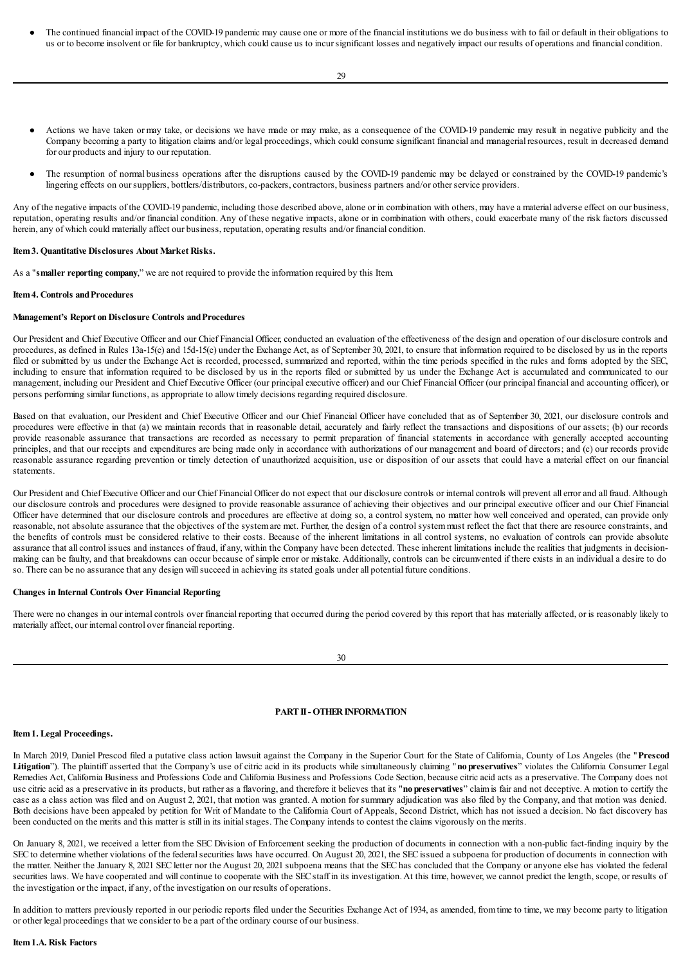The continued financial impact of the COVID-19 pandemic may cause one or more of the financial institutions we do business with to fail or default in their obligations to us or to become insolvent or file for bankruptcy, which could cause us to incursignificant losses and negatively impact our results of operations and financialcondition.

- Actions we have taken ormay take, or decisions we have made or may make, as a consequence of the COVID-19 pandemic may result in negative publicity and the Company becoming a party to litigation claims and/or legal proceedings, which could consume significant financialand managerial resources, result in decreased demand for our products and injury to our reputation.
- The resumption of normal business operations after the disruptions caused by the COVID-19 pandemic may be delayed or constrained by the COVID-19 pandemic's lingering effects on our suppliers, bottlers/distributors, co-packers, contractors, business partners and/or other service providers.

Any of the negative impacts of the COVID-19 pandemic, including those described above, alone or in combination with others, may have a material adverse effect on our business, reputation, operating results and/or financial condition. Any of these negative impacts, alone or in combination with others, could exacerbate many of the risk factors discussed herein, any of which could materially affect our business, reputation, operating results and/or financial condition.

# **Item3. Quantitative Disclosures About Market Risks.**

As a "**smaller reporting company**," we are not required to provide the information required by this Item.

#### **Item 4. Controls and Procedures**

# **Management's Report on Disclosure Controls andProcedures**

Our President and Chief Executive Officer and our Chief Financial Officer, conducted an evaluation of the effectiveness of the design and operation of our disclosure controls and procedures, as defined in Rules 13a-15(e) and 15d-15(e) under the Exchange Act, as of September 30, 2021, to ensure that information required to be disclosed by us in the reports filed or submitted by us under the Exchange Act is recorded, processed, summarized and reported, within the time periods specified in the rules and forms adopted by the SEC, including to ensure that information required to be disclosed by us in the reports filed or submitted by us under the Exchange Act is accumulated and communicated to our management, including our President and Chief Executive Officer (our principalexecutive officer)and our Chief Financial Officer (our principal financialand accounting officer), or persons performing similar functions, as appropriate to allow timely decisions regarding required disclosure.

Based on that evaluation, our President and Chief Executive Officer and our Chief Financial Officer have concluded that as of September 30, 2021, our disclosure controls and procedures were effective in that (a) we maintain records that in reasonable detail, accurately and fairly reflect the transactions and dispositions of our assets; (b) our records provide reasonable assurance that transactions are recorded as necessary to permit preparation of financial statements in accordance with generally accepted accounting principles, and that our receipts and expenditures are being made only in accordance with authorizations of our management and board of directors; and (c) our records provide reasonable assurance regarding prevention or timely detection of unauthorized acquisition, use or disposition of our assets that could have a material effect on our financial statements.

Our President and Chief Executive Officer and our Chief Financial Officer do not expect that our disclosure controls or internal controls will prevent all error and all fraud. Although our disclosure controls and procedures were designed to provide reasonable assurance of achieving their objectives and our principal executive officer and our Chief Financial Officer have determined that our disclosure controls and procedures are effective at doing so, a control system, no matter how well conceived and operated, can provide only reasonable, not absolute assurance that the objectives of the systemare met. Further, the design of a control systemmust reflect the fact that there are resource constraints, and the benefits of controls must be considered relative to their costs. Because of the inherent limitations in all control systems, no evaluation of controls can provide absolute assurance that all control issues and instances of fraud, if any, within the Company have been detected. These inherent limitations include the realities that judgments in decisionmaking can be faulty, and that breakdowns can occur because of simple error or mistake. Additionally, controls can be circumvented if there exists in an individuala desire to do so. There can be no assurance that any design willsucceed in achieving its stated goals underall potential future conditions.

# **Changes in Internal Controls Over Financial Reporting**

There were no changes in our internal controls over financial reporting that occurred during the period covered by this report that has materially affected, or is reasonably likely to materially affect, our internal control over financial reporting.

30

# **PART II - OTHER INFORMATION**

#### **Item1. Legal Proceedings.**

In March 2019, Daniel Prescod filed a putative class action lawsuit against the Company in the Superior Court for the State of California, County of Los Angeles (the "**Prescod Litigation**"). The plaintiff asserted that the Company's use of citric acid in its products while simultaneously claiming "**no preservatives**" violates the California Consumer Legal Remedies Act, California Business and Professions Code and California Business and Professions Code Section, because citric acid acts as a preservative. The Company does not use citric acid as a preservative in its products, but rather as a flavoring, and therefore it believes that its "**no preservatives**" claim is fair and not deceptive. A motion to certify the case as a class action was filed and on August 2, 2021, that motion was granted.A motion for summary adjudication was also filed by the Company, and that motion was denied. Both decisions have been appealed by petition for Writ of Mandate to the California Court of Appeals, Second District, which has not issued a decision. No fact discovery has been conducted on the merits and this matter is still in its initialstages. The Company intends to contest the claims vigorously on the merits.

On January 8, 2021, we received a letter fromthe SEC Division of Enforcement seeking the production of documents in connection with a non-public fact-finding inquiry by the SEC to determine whether violations of the federal securities laws have occurred. On August 20, 2021, the SEC issued a subpoena for production of documents in connection with the matter. Neither the January 8, 2021 SEC letter nor the August 20, 2021 subpoena means that the SEC has concluded that the Company or anyone else has violated the federal securities laws. We have cooperated and will continue to cooperate with the SEC staff in its investigation. At this time, however, we cannot predict the length, scope, or results of the investigation or the impact, ifany, of the investigation on our results of operations.

In addition to matters previously reported in our periodic reports filed under the Securities Exchange Act of 1934, as amended, from time to time, we may become party to litigation or other legal proceedings that we consider to be a part of the ordinary course of our business.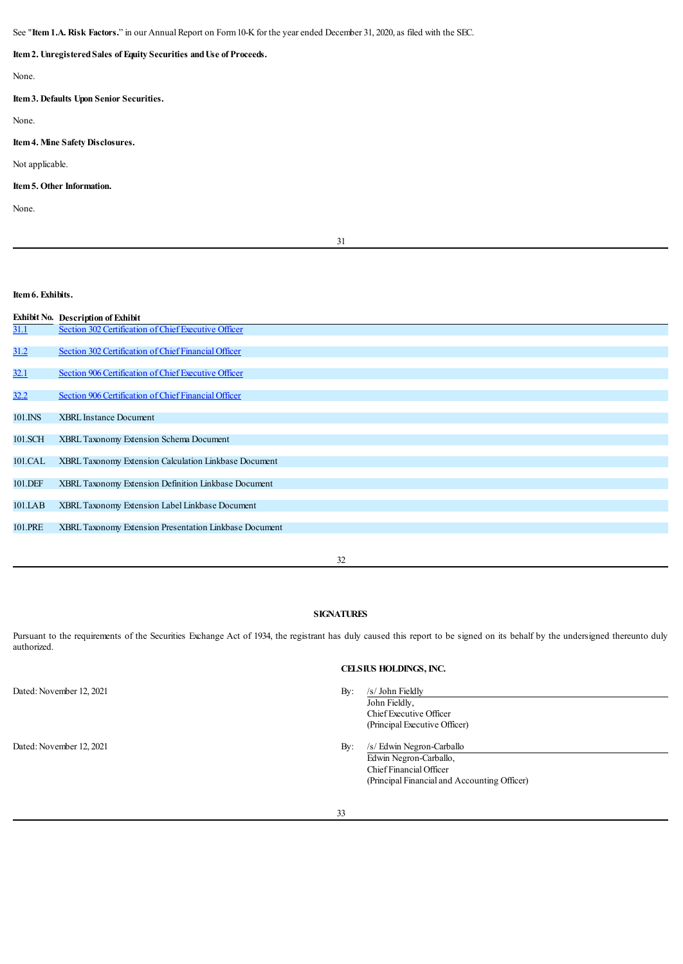See "Item 1.A. Risk Factors." in our Annual Report on Form 10-K for the year ended December 31, 2020, as filed with the SEC.

# **Item2. UnregisteredSales of Equity Securities andUse of Proceeds.**

None.

**Item3. Defaults Upon Senior Securities.**

None.

**Item4. Mine SafetyDisclosures.**

Not applicable.

# **Item5. Other Information.**

None.

**Item6. Exhibits.**

|             | Exhibit No. Description of Exhibit                     |
|-------------|--------------------------------------------------------|
| <u>31.1</u> | Section 302 Certification of Chief Executive Officer   |
|             |                                                        |
| 31.2        | Section 302 Certification of Chief Financial Officer   |
|             |                                                        |
| 32.1        | Section 906 Certification of Chief Executive Officer   |
|             |                                                        |
| 32.2        | Section 906 Certification of Chief Financial Officer   |
|             | <b>XBRL</b> Instance Document                          |
| 101.INS     |                                                        |
| 101.SCH     | XBRL Taxonomy Extension Schema Document                |
|             |                                                        |
| 101.CAL     | XBRL Taxonomy Extension Calculation Linkbase Document  |
|             |                                                        |
| 101.DEF     | XBRL Taxonomy Extension Definition Linkbase Document   |
|             |                                                        |
| 101.LAB     | XBRL Taxonomy Extension Label Linkbase Document        |
|             |                                                        |
| 101.PRE     | XBRL Taxonomy Extension Presentation Linkbase Document |
|             |                                                        |
|             |                                                        |

32

# **SIGNATURES**

Pursuant to the requirements of the Securities Exchange Act of 1934, the registrant has duly caused this report to be signed on its behalf by the undersigned thereunto duly authorized.

Dated: November 12, 2021

<span id="page-21-0"></span>Dated: November 12, 2021

# **CELSIUS HOLDINGS, INC.**

| By: | /s/ John Fieldly                             |
|-----|----------------------------------------------|
|     | John Fieldly,                                |
|     | Chief Executive Officer                      |
|     | (Principal Executive Officer)                |
| By: | /s/ Edwin Negron-Carballo                    |
|     | Edwin Negron-Carballo,                       |
|     | Chief Financial Officer                      |
|     | (Principal Financial and Accounting Officer) |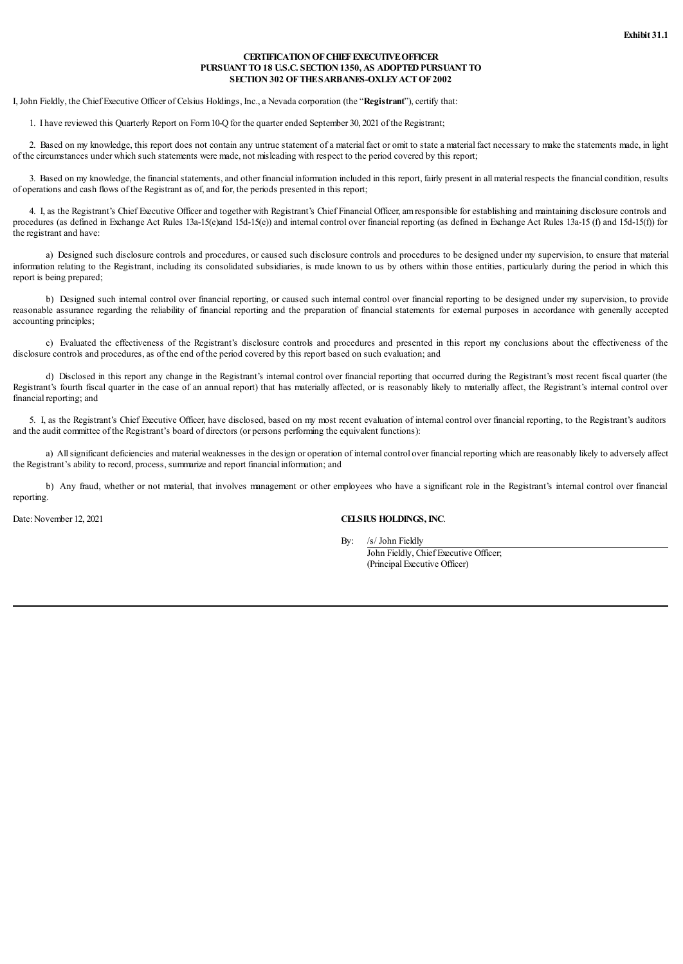# **CERTIFICATIONOFCHIEFEXECUTIVEOFFICER PURSUANTTO18 U.S.C. SECTION1350, AS ADOPTEDPURSUANTTO SECTION302 OFTHESARBANES-OXLEYACTOF2002**

I, John Fieldly, the Chief Executive Officer of Celsius Holdings, Inc., a Nevada corporation (the "Registrant"), certify that:

1. I have reviewed this Quarterly Report on Form10-Qfor the quarterended September 30, 2021 of the Registrant;

2. Based on my knowledge, this report does not contain any untrue statement ofa material fact or omit to state a material fact necessary to make the statements made, in light of the circumstances under which such statements were made, not misleading with respect to the period covered by this report;

3. Based on my knowledge, the financial statements, and other financial information included in this report, fairly present in all material respects the financial condition, results of operations and cash flows of the Registrant as of,and for, the periods presented in this report;

4. I,as the Registrant's Chief Executive Officerand together with Registrant's Chief Financial Officer,amresponsible forestablishing and maintaining disclosure controls and procedures (as defined in Exchange Act Rules 13a-15(e)and 15d-15(e)) and internalcontrol over financial reporting (as defined in Exchange Act Rules 13a-15 (f) and 15d-15(f)) for the registrant and have:

a) Designed such disclosure controls and procedures, or caused such disclosure controls and procedures to be designed under my supervision, to ensure that material information relating to the Registrant, including its consolidated subsidiaries, is made known to us by others within those entities, particularly during the period in which this report is being prepared;

b) Designed such internal control over financial reporting, or caused such internal control over financial reporting to be designed under my supervision, to provide reasonable assurance regarding the reliability of financial reporting and the preparation of financial statements for external purposes in accordance with generally accepted accounting principles;

c) Evaluated the effectiveness of the Registrant's disclosure controls and procedures and presented in this report my conclusions about the effectiveness of the disclosure controls and procedures, as of the end of the period covered by this report based on such evaluation; and

d) Disclosed in this report any change in the Registrant's internal control over financial reporting that occurred during the Registrant's most recent fiscal quarter (the Registrant's fourth fiscal quarter in the case of an annual report) that has materially affected, or is reasonably likely to materially affect, the Registrant's internal control over financial reporting; and

5. I, as the Registrant's Chief Executive Officer, have disclosed, based on my most recent evaluation of internal control over financial reporting, to the Registrant's auditors and the audit committee of the Registrant's board of directors (or persons performing the equivalent functions):

a) All significant deficiencies and material weaknesses in the design or operation of internal control over financial reporting which are reasonably likely to adversely affect the Registrant's ability to record, process, summarize and report financial information; and

b) Any fraud, whether or not material, that involves management or other employees who have a significant role in the Registrant's internal control over financial reporting.

<span id="page-22-0"></span>

# Date:November 12, 2021 **CELSIUS HOLDINGS, INC**.

By: /s/ John Fieldly John Fieldly, Chief Executive Officer; (Principal Executive Officer)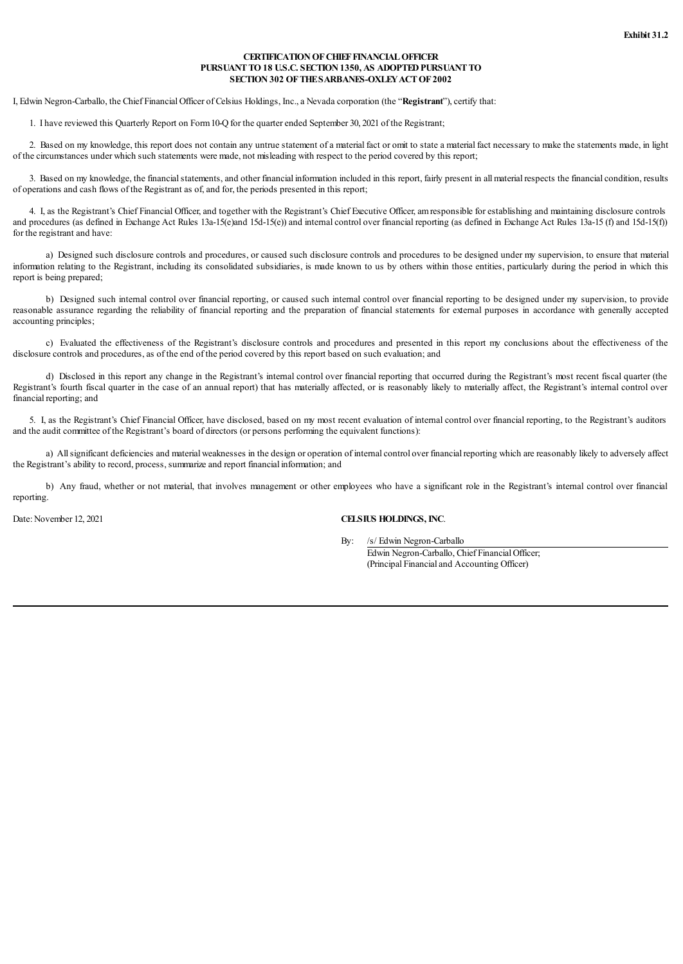# **CERTIFICATIONOFCHIEFFINANCIALOFFICER PURSUANTTO18 U.S.C. SECTION1350, AS ADOPTEDPURSUANTTO SECTION302 OFTHESARBANES-OXLEYACTOF2002**

I, Edwin Negron-Carballo, the Chief Financial Officer of Celsius Holdings, Inc., a Nevada corporation (the "**Registrant**"), certify that:

1. I have reviewed this Quarterly Report on Form 10-Q for the quarter ended September 30, 2021 of the Registrant;

2. Based on my knowledge, this report does not contain any untrue statement ofa material fact or omit to state a material fact necessary to make the statements made, in light of the circumstances under which such statements were made, not misleading with respect to the period covered by this report;

3. Based on my knowledge, the financial statements, and other financial information included in this report, fairly present in all material respects the financial condition, results of operations and cash flows of the Registrant as of,and for, the periods presented in this report;

4. I,as the Registrant's Chief Financial Officer,and together with the Registrant's Chief Executive Officer,amresponsible forestablishing and maintaining disclosure controls and procedures (as defined in Exchange Act Rules 13a-15(e)and 15d-15(e)) and internal control over financial reporting (as defined in Exchange Act Rules 13a-15 (f) and 15d-15(f)) for the registrant and have:

a) Designed such disclosure controls and procedures, or caused such disclosure controls and procedures to be designed under my supervision, to ensure that material information relating to the Registrant, including its consolidated subsidiaries, is made known to us by others within those entities, particularly during the period in which this report is being prepared;

b) Designed such internal control over financial reporting, or caused such internal control over financial reporting to be designed under my supervision, to provide reasonable assurance regarding the reliability of financial reporting and the preparation of financial statements for external purposes in accordance with generally accepted accounting principles;

c) Evaluated the effectiveness of the Registrant's disclosure controls and procedures and presented in this report my conclusions about the effectiveness of the disclosure controls and procedures, as of the end of the period covered by this report based on such evaluation; and

d) Disclosed in this report any change in the Registrant's internal control over financial reporting that occurred during the Registrant's most recent fiscal quarter (the Registrant's fourth fiscal quarter in the case of an annual report) that has materially affected, or is reasonably likely to materially affect, the Registrant's internal control over financial reporting; and

5. I, as the Registrant's Chief Financial Officer, have disclosed, based on my most recent evaluation of internal control over financial reporting, to the Registrant's auditors and the audit committee of the Registrant's board of directors (or persons performing the equivalent functions):

a) All significant deficiencies and material weaknesses in the design or operation of internal control over financial reporting which are reasonably likely to adversely affect the Registrant's ability to record, process, summarize and report financial information; and

b) Any fraud, whether or not material, that involves management or other employees who have a significant role in the Registrant's internal control over financial reporting.

<span id="page-23-0"></span>

# Date:November 12, 2021 **CELSIUS HOLDINGS, INC**.

By: /s/ Edwin Negron-Carballo Edwin Negron-Carballo, Chief Financial Officer; (Principal Financialand Accounting Officer)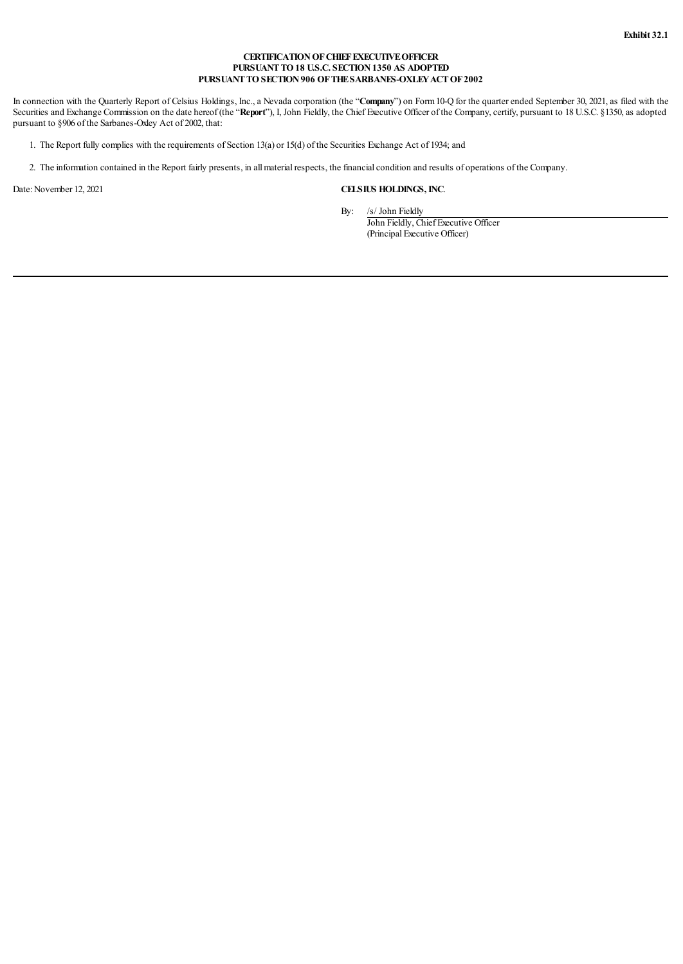# **CERTIFICATIONOFCHIEFEXECUTIVEOFFICER PURSUANTTO18 U.S.C. SECTION1350 AS ADOPTED PURSUANTTOSECTION906 OFTHESARBANES-OXLEYACTOF2002**

In connection with the Quarterly Report of Celsius Holdings, Inc.,a Nevada corporation (the "**Company**") on Form10-Q for the quarterended September 30, 2021, as filed with the Securities and Exchange Commission on the date hereof (the "Report"), I, John Fieldly, the Chief Executive Officer of the Company, certify, pursuant to 18 U.S.C. §1350, as adopted pursuant to §906 of the Sarbanes-Oxley Act of 2002, that:

1. The Report fully complies with the requirements of Section 13(a) or 15(d) of the Securities Exchange Act of 1934; and

2. The information contained in the Report fairly presents, in allmaterial respects, the financialcondition and results of operations of the Company.

<span id="page-24-0"></span>Date:November 12, 2021 **CELSIUS HOLDINGS, INC**.

By: /s/ John Fieldly

John Fieldly, Chief Executive Officer (Principal Executive Officer)